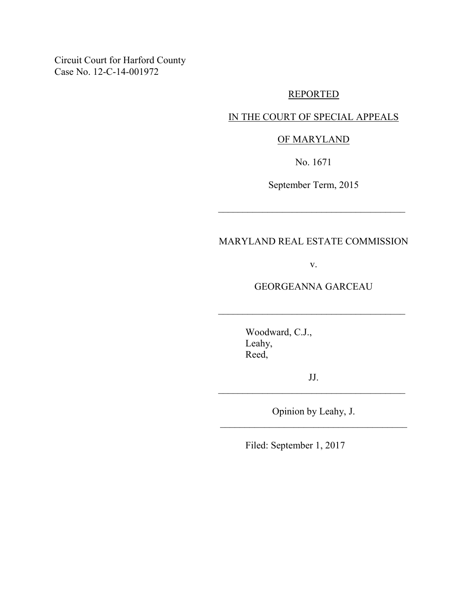Circuit Court for Harford County Case No. 12-C-14-001972

### REPORTED

# IN THE COURT OF SPECIAL APPEALS

# OF MARYLAND

No. 1671

September Term, 2015

 $\mathcal{L}_\text{max}$  , where  $\mathcal{L}_\text{max}$  , we are the set of  $\mathcal{L}_\text{max}$ 

# MARYLAND REAL ESTATE COMMISSION

v.

GEORGEANNA GARCEAU

 $\mathcal{L}_\text{max}$  , where  $\mathcal{L}_\text{max}$  , we are the set of  $\mathcal{L}_\text{max}$ 

 Woodward, C.J., Leahy, Reed,

JJ.  $\mathcal{L}_\text{max}$  , where  $\mathcal{L}_\text{max}$  , we are the set of  $\mathcal{L}_\text{max}$ 

Opinion by Leahy, J. \_\_\_\_\_\_\_\_\_\_\_\_\_\_\_\_\_\_\_\_\_\_\_\_\_\_\_\_\_\_\_\_\_\_\_\_\_\_

Filed: September 1, 2017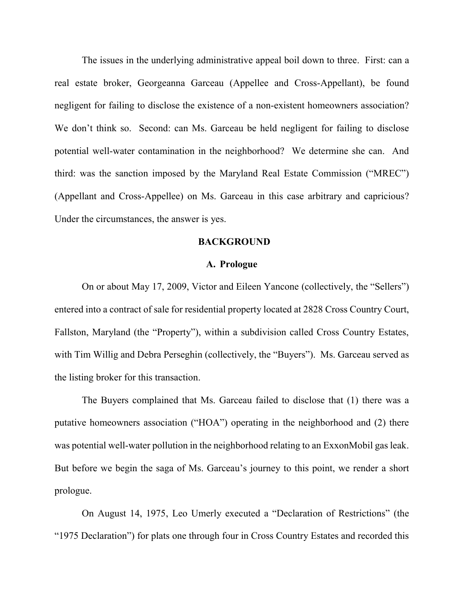The issues in the underlying administrative appeal boil down to three. First: can a real estate broker, Georgeanna Garceau (Appellee and Cross-Appellant), be found negligent for failing to disclose the existence of a non-existent homeowners association? We don't think so. Second: can Ms. Garceau be held negligent for failing to disclose potential well-water contamination in the neighborhood? We determine she can. And third: was the sanction imposed by the Maryland Real Estate Commission ("MREC") (Appellant and Cross-Appellee) on Ms. Garceau in this case arbitrary and capricious? Under the circumstances, the answer is yes.

#### **BACKGROUND**

### **A. Prologue**

On or about May 17, 2009, Victor and Eileen Yancone (collectively, the "Sellers") entered into a contract of sale for residential property located at 2828 Cross Country Court, Fallston, Maryland (the "Property"), within a subdivision called Cross Country Estates, with Tim Willig and Debra Perseghin (collectively, the "Buyers"). Ms. Garceau served as the listing broker for this transaction.

The Buyers complained that Ms. Garceau failed to disclose that (1) there was a putative homeowners association ("HOA") operating in the neighborhood and (2) there was potential well-water pollution in the neighborhood relating to an ExxonMobil gas leak. But before we begin the saga of Ms. Garceau's journey to this point, we render a short prologue.

On August 14, 1975, Leo Umerly executed a "Declaration of Restrictions" (the "1975 Declaration") for plats one through four in Cross Country Estates and recorded this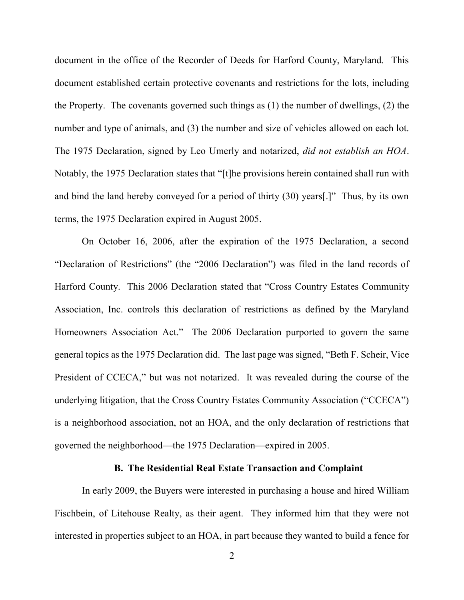document in the office of the Recorder of Deeds for Harford County, Maryland. This document established certain protective covenants and restrictions for the lots, including the Property. The covenants governed such things as (1) the number of dwellings, (2) the number and type of animals, and (3) the number and size of vehicles allowed on each lot. The 1975 Declaration, signed by Leo Umerly and notarized, *did not establish an HOA*. Notably, the 1975 Declaration states that "[t]he provisions herein contained shall run with and bind the land hereby conveyed for a period of thirty (30) years[.]" Thus, by its own terms, the 1975 Declaration expired in August 2005.

 On October 16, 2006, after the expiration of the 1975 Declaration, a second "Declaration of Restrictions" (the "2006 Declaration") was filed in the land records of Harford County. This 2006 Declaration stated that "Cross Country Estates Community Association, Inc. controls this declaration of restrictions as defined by the Maryland Homeowners Association Act." The 2006 Declaration purported to govern the same general topics as the 1975 Declaration did. The last page was signed, "Beth F. Scheir, Vice President of CCECA," but was not notarized. It was revealed during the course of the underlying litigation, that the Cross Country Estates Community Association ("CCECA") is a neighborhood association, not an HOA, and the only declaration of restrictions that governed the neighborhood—the 1975 Declaration—expired in 2005.

## **B. The Residential Real Estate Transaction and Complaint**

 In early 2009, the Buyers were interested in purchasing a house and hired William Fischbein, of Litehouse Realty, as their agent. They informed him that they were not interested in properties subject to an HOA, in part because they wanted to build a fence for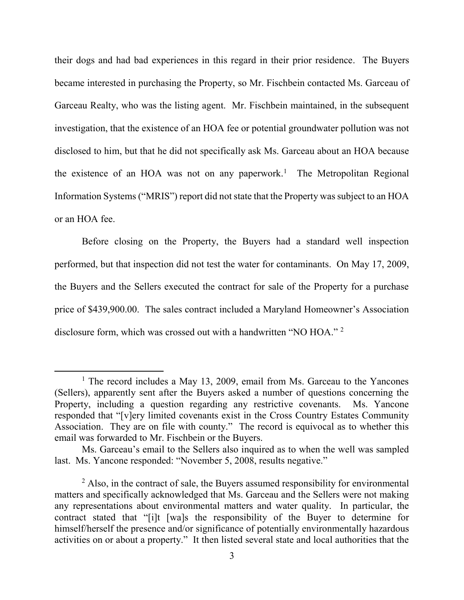their dogs and had bad experiences in this regard in their prior residence. The Buyers became interested in purchasing the Property, so Mr. Fischbein contacted Ms. Garceau of Garceau Realty, who was the listing agent. Mr. Fischbein maintained, in the subsequent investigation, that the existence of an HOA fee or potential groundwater pollution was not disclosed to him, but that he did not specifically ask Ms. Garceau about an HOA because the existence of an HOA was not on any paperwork.<sup>1</sup> The Metropolitan Regional Information Systems ("MRIS") report did not state that the Property was subject to an HOA or an HOA fee.

 Before closing on the Property, the Buyers had a standard well inspection performed, but that inspection did not test the water for contaminants. On May 17, 2009, the Buyers and the Sellers executed the contract for sale of the Property for a purchase price of \$439,900.00. The sales contract included a Maryland Homeowner's Association disclosure form, which was crossed out with a handwritten "NO HOA." <sup>2</sup>

<sup>&</sup>lt;sup>1</sup> The record includes a May 13, 2009, email from Ms. Garceau to the Yancones (Sellers), apparently sent after the Buyers asked a number of questions concerning the Property, including a question regarding any restrictive covenants. Ms. Yancone responded that "[v]ery limited covenants exist in the Cross Country Estates Community Association. They are on file with county." The record is equivocal as to whether this email was forwarded to Mr. Fischbein or the Buyers.

Ms. Garceau's email to the Sellers also inquired as to when the well was sampled last. Ms. Yancone responded: "November 5, 2008, results negative."

<sup>&</sup>lt;sup>2</sup> Also, in the contract of sale, the Buyers assumed responsibility for environmental matters and specifically acknowledged that Ms. Garceau and the Sellers were not making any representations about environmental matters and water quality. In particular, the contract stated that "[i]t [wa]s the responsibility of the Buyer to determine for himself/herself the presence and/or significance of potentially environmentally hazardous activities on or about a property." It then listed several state and local authorities that the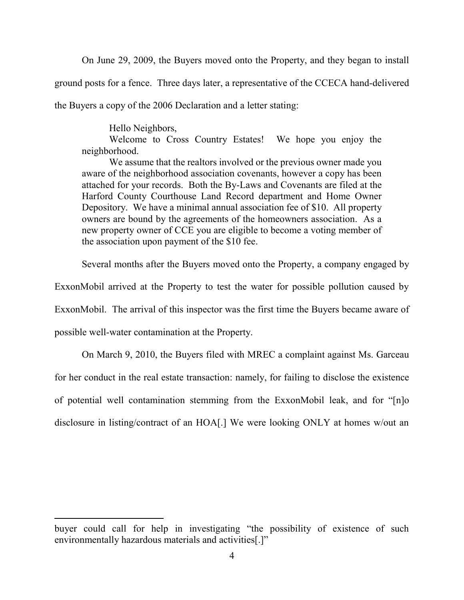On June 29, 2009, the Buyers moved onto the Property, and they began to install ground posts for a fence. Three days later, a representative of the CCECA hand-delivered the Buyers a copy of the 2006 Declaration and a letter stating:

Hello Neighbors,

Welcome to Cross Country Estates! We hope you enjoy the neighborhood.

We assume that the realtors involved or the previous owner made you aware of the neighborhood association covenants, however a copy has been attached for your records. Both the By-Laws and Covenants are filed at the Harford County Courthouse Land Record department and Home Owner Depository. We have a minimal annual association fee of \$10. All property owners are bound by the agreements of the homeowners association. As a new property owner of CCE you are eligible to become a voting member of the association upon payment of the \$10 fee.

Several months after the Buyers moved onto the Property, a company engaged by

ExxonMobil arrived at the Property to test the water for possible pollution caused by

ExxonMobil. The arrival of this inspector was the first time the Buyers became aware of

possible well-water contamination at the Property.

 $\overline{a}$ 

On March 9, 2010, the Buyers filed with MREC a complaint against Ms. Garceau for her conduct in the real estate transaction: namely, for failing to disclose the existence of potential well contamination stemming from the ExxonMobil leak, and for "[n]o disclosure in listing/contract of an HOA[.] We were looking ONLY at homes w/out an

buyer could call for help in investigating "the possibility of existence of such environmentally hazardous materials and activities[.]"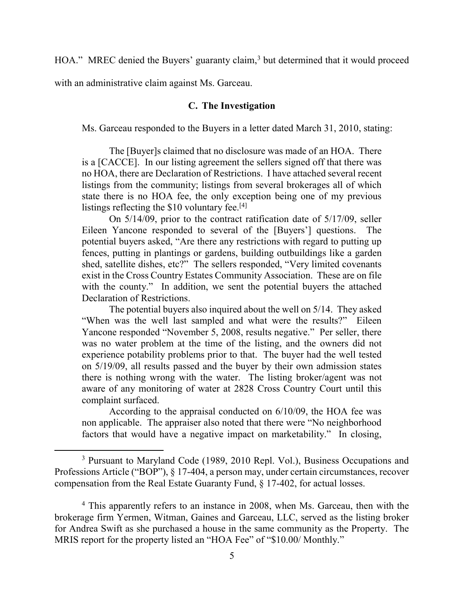HOA." MREC denied the Buyers' guaranty claim,<sup>3</sup> but determined that it would proceed

with an administrative claim against Ms. Garceau.

 $\overline{a}$ 

# **C. The Investigation**

Ms. Garceau responded to the Buyers in a letter dated March 31, 2010, stating:

 The [Buyer]s claimed that no disclosure was made of an HOA. There is a [CACCE]. In our listing agreement the sellers signed off that there was no HOA, there are Declaration of Restrictions. I have attached several recent listings from the community; listings from several brokerages all of which state there is no HOA fee, the only exception being one of my previous listings reflecting the \$10 voluntary fee.<sup>[4]</sup>

 On 5/14/09, prior to the contract ratification date of 5/17/09, seller Eileen Yancone responded to several of the [Buyers'] questions. The potential buyers asked, "Are there any restrictions with regard to putting up fences, putting in plantings or gardens, building outbuildings like a garden shed, satellite dishes, etc?" The sellers responded, "Very limited covenants exist in the Cross Country Estates Community Association. These are on file with the county." In addition, we sent the potential buyers the attached Declaration of Restrictions.

 The potential buyers also inquired about the well on 5/14. They asked "When was the well last sampled and what were the results?" Eileen Yancone responded "November 5, 2008, results negative." Per seller, there was no water problem at the time of the listing, and the owners did not experience potability problems prior to that. The buyer had the well tested on 5/19/09, all results passed and the buyer by their own admission states there is nothing wrong with the water. The listing broker/agent was not aware of any monitoring of water at 2828 Cross Country Court until this complaint surfaced.

According to the appraisal conducted on 6/10/09, the HOA fee was non applicable. The appraiser also noted that there were "No neighborhood factors that would have a negative impact on marketability." In closing,

<sup>&</sup>lt;sup>3</sup> Pursuant to Maryland Code (1989, 2010 Repl. Vol.), Business Occupations and Professions Article ("BOP"), § 17-404, a person may, under certain circumstances, recover compensation from the Real Estate Guaranty Fund, § 17-402, for actual losses.

<sup>&</sup>lt;sup>4</sup> This apparently refers to an instance in 2008, when Ms. Garceau, then with the brokerage firm Yermen, Witman, Gaines and Garceau, LLC, served as the listing broker for Andrea Swift as she purchased a house in the same community as the Property. The MRIS report for the property listed an "HOA Fee" of "\$10.00/ Monthly."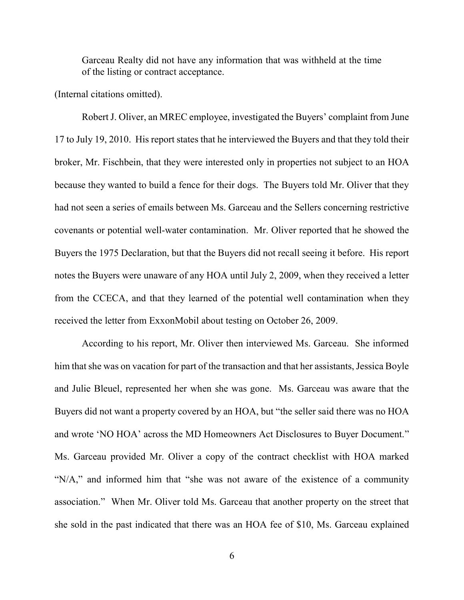Garceau Realty did not have any information that was withheld at the time of the listing or contract acceptance.

(Internal citations omitted).

Robert J. Oliver, an MREC employee, investigated the Buyers' complaint from June 17 to July 19, 2010. His report states that he interviewed the Buyers and that they told their broker, Mr. Fischbein, that they were interested only in properties not subject to an HOA because they wanted to build a fence for their dogs. The Buyers told Mr. Oliver that they had not seen a series of emails between Ms. Garceau and the Sellers concerning restrictive covenants or potential well-water contamination. Mr. Oliver reported that he showed the Buyers the 1975 Declaration, but that the Buyers did not recall seeing it before. His report notes the Buyers were unaware of any HOA until July 2, 2009, when they received a letter from the CCECA, and that they learned of the potential well contamination when they received the letter from ExxonMobil about testing on October 26, 2009.

According to his report, Mr. Oliver then interviewed Ms. Garceau. She informed him that she was on vacation for part of the transaction and that her assistants, Jessica Boyle and Julie Bleuel, represented her when she was gone. Ms. Garceau was aware that the Buyers did not want a property covered by an HOA, but "the seller said there was no HOA and wrote 'NO HOA' across the MD Homeowners Act Disclosures to Buyer Document." Ms. Garceau provided Mr. Oliver a copy of the contract checklist with HOA marked "N/A," and informed him that "she was not aware of the existence of a community association." When Mr. Oliver told Ms. Garceau that another property on the street that she sold in the past indicated that there was an HOA fee of \$10, Ms. Garceau explained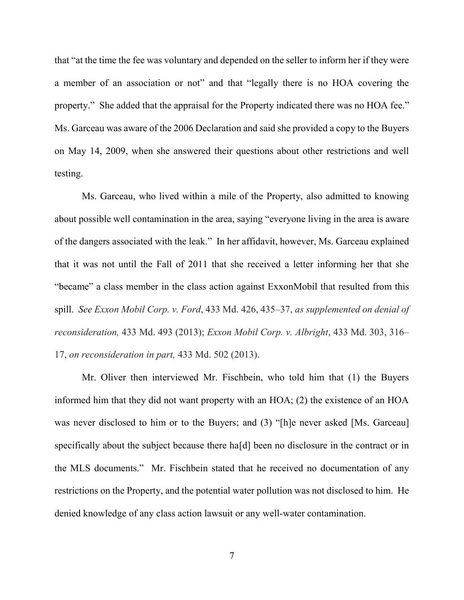that "at the time the fee was voluntary and depended on the seller to inform her if they were a member of an association or not" and that "legally there is no HOA covering the property." She added that the appraisal for the Property indicated there was no HOA fee." Ms. Garceau was aware of the 2006 Declaration and said she provided a copy to the Buyers on May 14, 2009, when she answered their questions about other restrictions and well testing.

Ms. Garceau, who lived within a mile of the Property, also admitted to knowing about possible well contamination in the area, saying "everyone living in the area is aware of the dangers associated with the leak." In her affidavit, however, Ms. Garceau explained that it was not until the Fall of 2011 that she received a letter informing her that she "became" a class member in the class action against ExxonMobil that resulted from this spill. *See Exxon Mobil Corp. v. Ford*, 433 Md. 426, 435–37, *as supplemented on denial of reconsideration,* 433 Md. 493 (2013); *Exxon Mobil Corp. v. Albright*, 433 Md. 303, 316– 17, *on reconsideration in part,* 433 Md. 502 (2013).

 Mr. Oliver then interviewed Mr. Fischbein, who told him that (1) the Buyers informed him that they did not want property with an HOA; (2) the existence of an HOA was never disclosed to him or to the Buyers; and (3) "[h]e never asked [Ms. Garceau] specifically about the subject because there ha[d] been no disclosure in the contract or in the MLS documents."Mr. Fischbein stated that he received no documentation of any restrictions on the Property, and the potential water pollution was not disclosed to him. He denied knowledge of any class action lawsuit or any well-water contamination.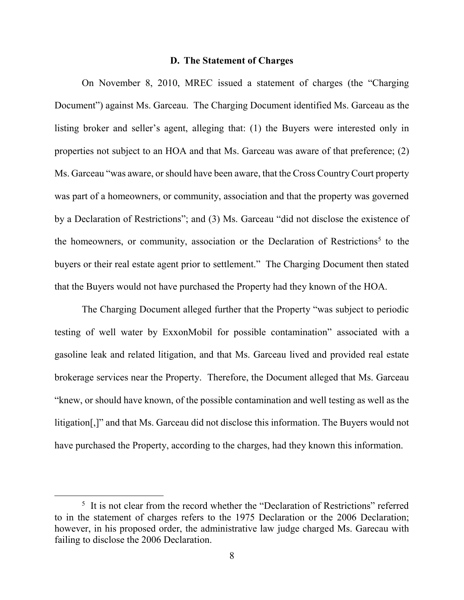#### **D. The Statement of Charges**

On November 8, 2010, MREC issued a statement of charges (the "Charging Document") against Ms. Garceau. The Charging Document identified Ms. Garceau as the listing broker and seller's agent, alleging that: (1) the Buyers were interested only in properties not subject to an HOA and that Ms. Garceau was aware of that preference; (2) Ms. Garceau "was aware, or should have been aware, that the Cross Country Court property was part of a homeowners, or community, association and that the property was governed by a Declaration of Restrictions"; and (3) Ms. Garceau "did not disclose the existence of the homeowners, or community, association or the Declaration of Restrictions<sup>5</sup> to the buyers or their real estate agent prior to settlement." The Charging Document then stated that the Buyers would not have purchased the Property had they known of the HOA.

 The Charging Document alleged further that the Property "was subject to periodic testing of well water by ExxonMobil for possible contamination" associated with a gasoline leak and related litigation, and that Ms. Garceau lived and provided real estate brokerage services near the Property. Therefore, the Document alleged that Ms. Garceau "knew, or should have known, of the possible contamination and well testing as well as the litigation[,]" and that Ms. Garceau did not disclose this information. The Buyers would not have purchased the Property, according to the charges, had they known this information.

<sup>&</sup>lt;sup>5</sup> It is not clear from the record whether the "Declaration of Restrictions" referred to in the statement of charges refers to the 1975 Declaration or the 2006 Declaration; however, in his proposed order, the administrative law judge charged Ms. Garecau with failing to disclose the 2006 Declaration.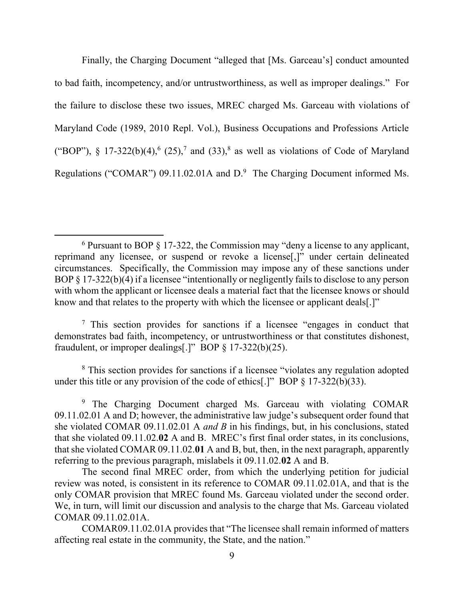Finally, the Charging Document "alleged that [Ms. Garceau's] conduct amounted to bad faith, incompetency, and/or untrustworthiness, as well as improper dealings." For the failure to disclose these two issues, MREC charged Ms. Garceau with violations of Maryland Code (1989, 2010 Repl. Vol.), Business Occupations and Professions Article ("BOP"), § 17-322(b)(4),<sup>6</sup> (25),<sup>7</sup> and (33),<sup>8</sup> as well as violations of Code of Maryland Regulations ("COMAR") 09.11.02.01A and  $D$ .<sup>9</sup> The Charging Document informed Ms.

 $\overline{a}$ 

<sup>7</sup> This section provides for sanctions if a licensee "engages in conduct that demonstrates bad faith, incompetency, or untrustworthiness or that constitutes dishonest, fraudulent, or improper dealings[.]" BOP  $\S 17-322(b)(25)$ .

<sup>8</sup> This section provides for sanctions if a licensee "violates any regulation adopted under this title or any provision of the code of ethics[.]" BOP  $\S$  17-322(b)(33).

<sup>9</sup> The Charging Document charged Ms. Garceau with violating COMAR 09.11.02.01 A and D; however, the administrative law judge's subsequent order found that she violated COMAR 09.11.02.01 A *and B* in his findings, but, in his conclusions, stated that she violated 09.11.02.**02** A and B. MREC's first final order states, in its conclusions, that she violated COMAR 09.11.02.**01** A and B, but, then, in the next paragraph, apparently referring to the previous paragraph, mislabels it 09.11.02.**02** A and B.

The second final MREC order, from which the underlying petition for judicial review was noted, is consistent in its reference to COMAR 09.11.02.01A, and that is the only COMAR provision that MREC found Ms. Garceau violated under the second order. We, in turn, will limit our discussion and analysis to the charge that Ms. Garceau violated COMAR 09.11.02.01A.

COMAR09.11.02.01A provides that "The licensee shall remain informed of matters affecting real estate in the community, the State, and the nation."

<sup>&</sup>lt;sup>6</sup> Pursuant to BOP § 17-322, the Commission may "deny a license to any applicant, reprimand any licensee, or suspend or revoke a license[,]" under certain delineated circumstances. Specifically, the Commission may impose any of these sanctions under BOP § 17-322(b)(4) if a licensee "intentionally or negligently fails to disclose to any person with whom the applicant or licensee deals a material fact that the licensee knows or should know and that relates to the property with which the licensee or applicant deals[.]"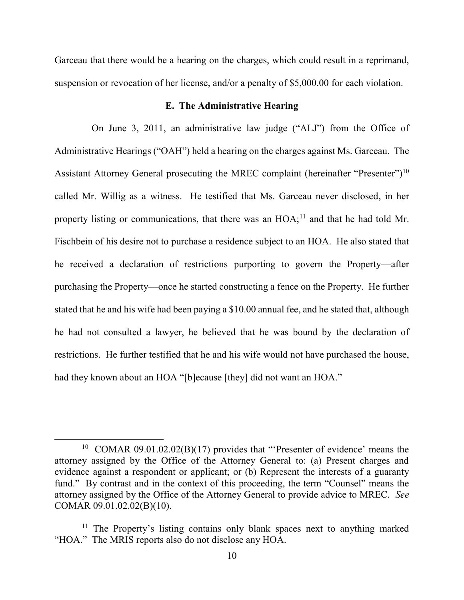Garceau that there would be a hearing on the charges, which could result in a reprimand, suspension or revocation of her license, and/or a penalty of \$5,000.00 for each violation.

# **E. The Administrative Hearing**

On June 3, 2011, an administrative law judge ("ALJ") from the Office of Administrative Hearings ("OAH") held a hearing on the charges against Ms. Garceau. The Assistant Attorney General prosecuting the MREC complaint (hereinafter "Presenter")<sup>10</sup> called Mr. Willig as a witness. He testified that Ms. Garceau never disclosed, in her property listing or communications, that there was an  $HOA<sub>1</sub><sup>11</sup>$  and that he had told Mr. Fischbein of his desire not to purchase a residence subject to an HOA. He also stated that he received a declaration of restrictions purporting to govern the Property—after purchasing the Property—once he started constructing a fence on the Property. He further stated that he and his wife had been paying a \$10.00 annual fee, and he stated that, although he had not consulted a lawyer, he believed that he was bound by the declaration of restrictions. He further testified that he and his wife would not have purchased the house, had they known about an HOA "[b]ecause [they] did not want an HOA."

<sup>&</sup>lt;sup>10</sup> COMAR 09.01.02.02(B)(17) provides that "Presenter of evidence' means the attorney assigned by the Office of the Attorney General to: (a) Present charges and evidence against a respondent or applicant; or (b) Represent the interests of a guaranty fund." By contrast and in the context of this proceeding, the term "Counsel" means the attorney assigned by the Office of the Attorney General to provide advice to MREC. *See* COMAR 09.01.02.02(B)(10).

<sup>&</sup>lt;sup>11</sup> The Property's listing contains only blank spaces next to anything marked "HOA." The MRIS reports also do not disclose any HOA.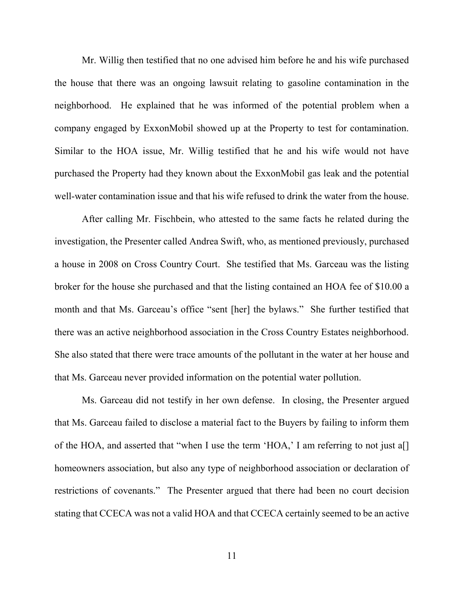Mr. Willig then testified that no one advised him before he and his wife purchased the house that there was an ongoing lawsuit relating to gasoline contamination in the neighborhood. He explained that he was informed of the potential problem when a company engaged by ExxonMobil showed up at the Property to test for contamination. Similar to the HOA issue, Mr. Willig testified that he and his wife would not have purchased the Property had they known about the ExxonMobil gas leak and the potential well-water contamination issue and that his wife refused to drink the water from the house.

After calling Mr. Fischbein, who attested to the same facts he related during the investigation, the Presenter called Andrea Swift, who, as mentioned previously, purchased a house in 2008 on Cross Country Court.She testified that Ms. Garceau was the listing broker for the house she purchased and that the listing contained an HOA fee of \$10.00 a month and that Ms. Garceau's office "sent [her] the bylaws." She further testified that there was an active neighborhood association in the Cross Country Estates neighborhood. She also stated that there were trace amounts of the pollutant in the water at her house and that Ms. Garceau never provided information on the potential water pollution.

Ms. Garceau did not testify in her own defense. In closing, the Presenter argued that Ms. Garceau failed to disclose a material fact to the Buyers by failing to inform them of the HOA, and asserted that "when I use the term 'HOA,' I am referring to not just a[] homeowners association, but also any type of neighborhood association or declaration of restrictions of covenants." The Presenter argued that there had been no court decision stating that CCECA was not a valid HOA and that CCECA certainly seemed to be an active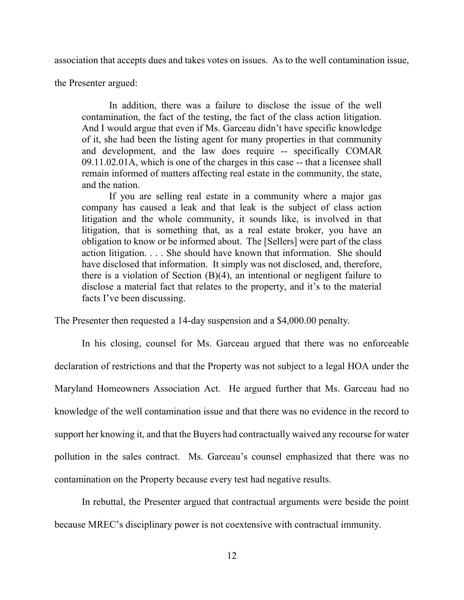association that accepts dues and takes votes on issues. As to the well contamination issue,

the Presenter argued:

 In addition, there was a failure to disclose the issue of the well contamination, the fact of the testing, the fact of the class action litigation. And I would argue that even if Ms. Garceau didn't have specific knowledge of it, she had been the listing agent for many properties in that community and development, and the law does require -- specifically COMAR 09.11.02.01A, which is one of the charges in this case -- that a licensee shall remain informed of matters affecting real estate in the community, the state, and the nation.

 If you are selling real estate in a community where a major gas company has caused a leak and that leak is the subject of class action litigation and the whole community, it sounds like, is involved in that litigation, that is something that, as a real estate broker, you have an obligation to know or be informed about. The [Sellers] were part of the class action litigation. . . . She should have known that information. She should have disclosed that information. It simply was not disclosed, and, therefore, there is a violation of Section (B)(4), an intentional or negligent failure to disclose a material fact that relates to the property, and it's to the material facts I've been discussing.

The Presenter then requested a 14-day suspension and a \$4,000.00 penalty.

In his closing, counsel for Ms. Garceau argued that there was no enforceable declaration of restrictions and that the Property was not subject to a legal HOA under the Maryland Homeowners Association Act. He argued further that Ms. Garceau had no knowledge of the well contamination issue and that there was no evidence in the record to support her knowing it, and that the Buyers had contractually waived any recourse for water pollution in the sales contract. Ms. Garceau's counsel emphasized that there was no contamination on the Property because every test had negative results.

In rebuttal, the Presenter argued that contractual arguments were beside the point because MREC's disciplinary power is not coextensive with contractual immunity.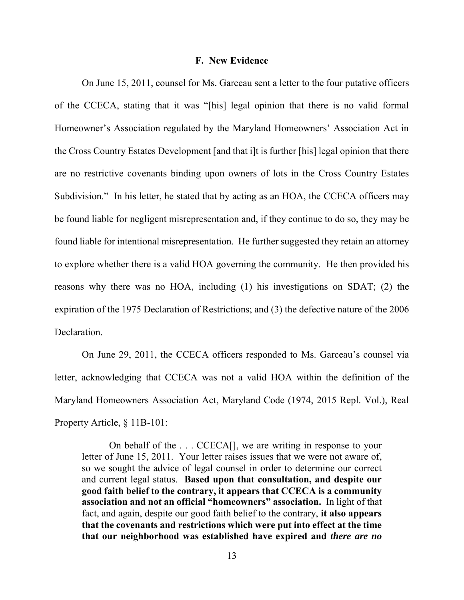#### **F. New Evidence**

 On June 15, 2011, counsel for Ms. Garceau sent a letter to the four putative officers of the CCECA, stating that it was "[his] legal opinion that there is no valid formal Homeowner's Association regulated by the Maryland Homeowners' Association Act in the Cross Country Estates Development [and that i]t is further [his] legal opinion that there are no restrictive covenants binding upon owners of lots in the Cross Country Estates Subdivision." In his letter, he stated that by acting as an HOA, the CCECA officers may be found liable for negligent misrepresentation and, if they continue to do so, they may be found liable for intentional misrepresentation. He further suggested they retain an attorney to explore whether there is a valid HOA governing the community.He then provided his reasons why there was no HOA, including (1) his investigations on SDAT; (2) the expiration of the 1975 Declaration of Restrictions; and (3) the defective nature of the 2006 Declaration.

On June 29, 2011, the CCECA officers responded to Ms. Garceau's counsel via letter, acknowledging that CCECA was not a valid HOA within the definition of the Maryland Homeowners Association Act, Maryland Code (1974, 2015 Repl. Vol.), Real Property Article, § 11B-101:

 On behalf of the . . . CCECA[], we are writing in response to your letter of June 15, 2011. Your letter raises issues that we were not aware of, so we sought the advice of legal counsel in order to determine our correct and current legal status. **Based upon that consultation, and despite our good faith belief to the contrary, it appears that CCECA is a community association and not an official "homeowners" association.** In light of that fact, and again, despite our good faith belief to the contrary, **it also appears that the covenants and restrictions which were put into effect at the time that our neighborhood was established have expired and** *there are no*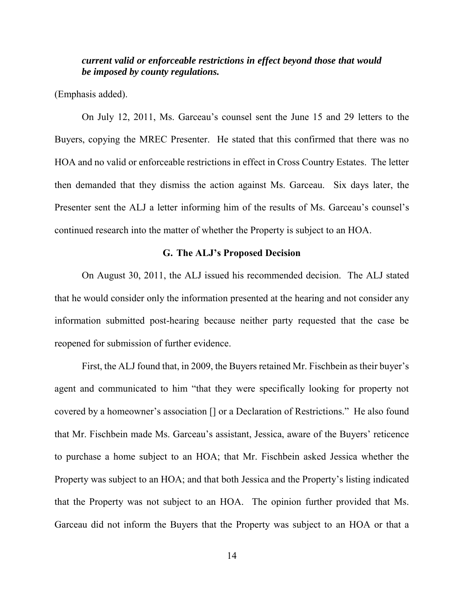# *current valid or enforceable restrictions in effect beyond those that would be imposed by county regulations.*

(Emphasis added).

On July 12, 2011, Ms. Garceau's counsel sent the June 15 and 29 letters to the Buyers, copying the MREC Presenter. He stated that this confirmed that there was no HOA and no valid or enforceable restrictions in effect in Cross Country Estates. The letter then demanded that they dismiss the action against Ms. Garceau.Six days later, the Presenter sent the ALJ a letter informing him of the results of Ms. Garceau's counsel's continued research into the matter of whether the Property is subject to an HOA.

### **G. The ALJ's Proposed Decision**

On August 30, 2011, the ALJ issued his recommended decision. The ALJ stated that he would consider only the information presented at the hearing and not consider any information submitted post-hearing because neither party requested that the case be reopened for submission of further evidence.

First, the ALJ found that, in 2009, the Buyers retained Mr. Fischbein as their buyer's agent and communicated to him "that they were specifically looking for property not covered by a homeowner's association [] or a Declaration of Restrictions." He also found that Mr. Fischbein made Ms. Garceau's assistant, Jessica, aware of the Buyers' reticence to purchase a home subject to an HOA; that Mr. Fischbein asked Jessica whether the Property was subject to an HOA; and that both Jessica and the Property's listing indicated that the Property was not subject to an HOA.The opinion further provided that Ms. Garceau did not inform the Buyers that the Property was subject to an HOA or that a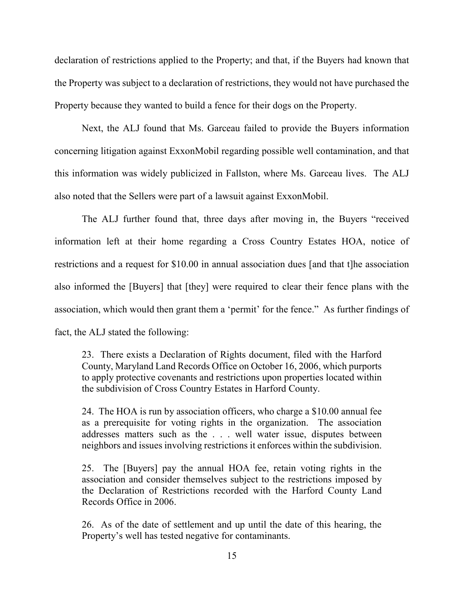declaration of restrictions applied to the Property; and that, if the Buyers had known that the Property was subject to a declaration of restrictions, they would not have purchased the Property because they wanted to build a fence for their dogs on the Property.

Next, the ALJ found that Ms. Garceau failed to provide the Buyers information concerning litigation against ExxonMobil regarding possible well contamination, and that this information was widely publicized in Fallston, where Ms. Garceau lives. The ALJ also noted that the Sellers were part of a lawsuit against ExxonMobil.

The ALJ further found that, three days after moving in, the Buyers "received information left at their home regarding a Cross Country Estates HOA, notice of restrictions and a request for \$10.00 in annual association dues [and that t]he association also informed the [Buyers] that [they] were required to clear their fence plans with the association, which would then grant them a 'permit' for the fence." As further findings of fact, the ALJ stated the following:

23. There exists a Declaration of Rights document, filed with the Harford County, Maryland Land Records Office on October 16, 2006, which purports to apply protective covenants and restrictions upon properties located within the subdivision of Cross Country Estates in Harford County.

24. The HOA is run by association officers, who charge a \$10.00 annual fee as a prerequisite for voting rights in the organization. The association addresses matters such as the . . . well water issue, disputes between neighbors and issues involving restrictions it enforces within the subdivision.

25. The [Buyers] pay the annual HOA fee, retain voting rights in the association and consider themselves subject to the restrictions imposed by the Declaration of Restrictions recorded with the Harford County Land Records Office in 2006.

26. As of the date of settlement and up until the date of this hearing, the Property's well has tested negative for contaminants.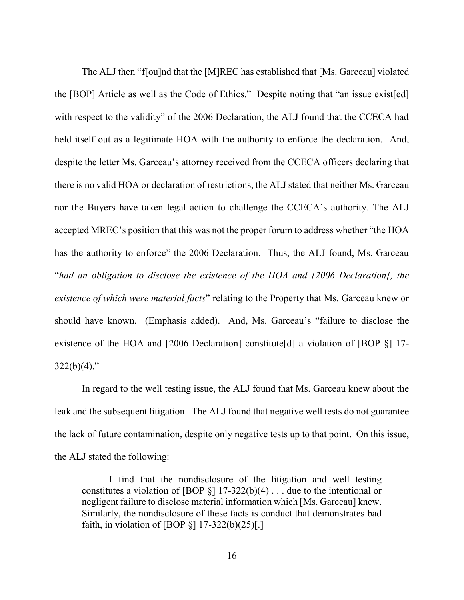The ALJ then "f[ou]nd that the [M]REC has established that [Ms. Garceau] violated the [BOP] Article as well as the Code of Ethics." Despite noting that "an issue exist[ed] with respect to the validity" of the 2006 Declaration, the ALJ found that the CCECA had held itself out as a legitimate HOA with the authority to enforce the declaration. And, despite the letter Ms. Garceau's attorney received from the CCECA officers declaring that there is no valid HOA or declaration of restrictions, the ALJ stated that neither Ms. Garceau nor the Buyers have taken legal action to challenge the CCECA's authority. The ALJ accepted MREC's position that this was not the proper forum to address whether "the HOA has the authority to enforce" the 2006 Declaration. Thus, the ALJ found, Ms. Garceau "*had an obligation to disclose the existence of the HOA and [2006 Declaration], the existence of which were material facts*" relating to the Property that Ms. Garceau knew or should have known. (Emphasis added). And, Ms. Garceau's "failure to disclose the existence of the HOA and [2006 Declaration] constitute[d] a violation of [BOP §] 17-  $322(b)(4)$ ."

 In regard to the well testing issue, the ALJ found that Ms. Garceau knew about the leak and the subsequent litigation. The ALJ found that negative well tests do not guarantee the lack of future contamination, despite only negative tests up to that point. On this issue, the ALJ stated the following:

I find that the nondisclosure of the litigation and well testing constitutes a violation of [BOP  $\S$ ] 17-322(b)(4)... due to the intentional or negligent failure to disclose material information which [Ms. Garceau] knew. Similarly, the nondisclosure of these facts is conduct that demonstrates bad faith, in violation of [BOP  $\S$ ] 17-322(b)(25)[.]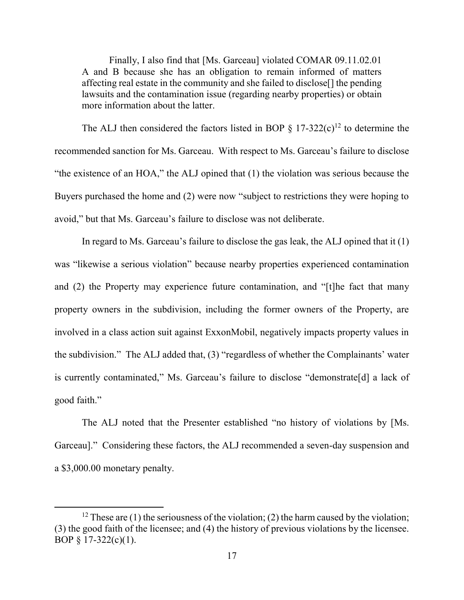Finally, I also find that [Ms. Garceau] violated COMAR 09.11.02.01 A and B because she has an obligation to remain informed of matters affecting real estate in the community and she failed to disclose[] the pending lawsuits and the contamination issue (regarding nearby properties) or obtain more information about the latter.

The ALJ then considered the factors listed in BOP  $\S$  17-322(c)<sup>12</sup> to determine the recommended sanction for Ms. Garceau. With respect to Ms. Garceau's failure to disclose "the existence of an HOA," the ALJ opined that (1) the violation was serious because the Buyers purchased the home and (2) were now "subject to restrictions they were hoping to avoid," but that Ms. Garceau's failure to disclose was not deliberate.

In regard to Ms. Garceau's failure to disclose the gas leak, the ALJ opined that it (1) was "likewise a serious violation" because nearby properties experienced contamination and (2) the Property may experience future contamination, and "[t]he fact that many property owners in the subdivision, including the former owners of the Property, are involved in a class action suit against ExxonMobil, negatively impacts property values in the subdivision." The ALJ added that, (3) "regardless of whether the Complainants' water is currently contaminated," Ms. Garceau's failure to disclose "demonstrate[d] a lack of good faith."

The ALJ noted that the Presenter established "no history of violations by [Ms. Garceau]." Considering these factors, the ALJ recommended a seven-day suspension and a \$3,000.00 monetary penalty.

<sup>&</sup>lt;sup>12</sup> These are (1) the seriousness of the violation; (2) the harm caused by the violation; (3) the good faith of the licensee; and (4) the history of previous violations by the licensee. BOP § 17-322(c)(1).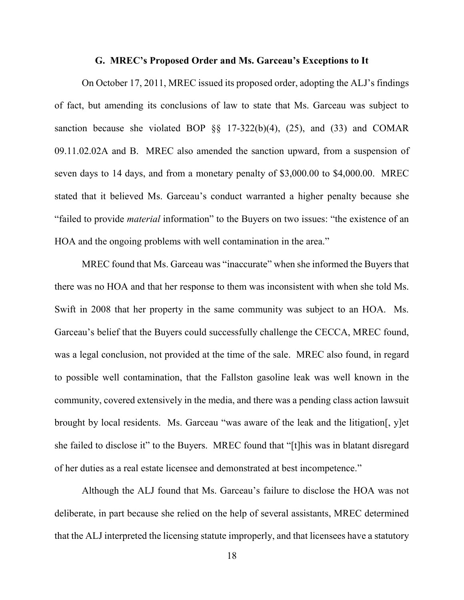#### **G. MREC's Proposed Order and Ms. Garceau's Exceptions to It**

On October 17, 2011, MREC issued its proposed order, adopting the ALJ's findings of fact, but amending its conclusions of law to state that Ms. Garceau was subject to sanction because she violated BOP  $\S$  17-322(b)(4), (25), and (33) and COMAR 09.11.02.02A and B. MREC also amended the sanction upward, from a suspension of seven days to 14 days, and from a monetary penalty of \$3,000.00 to \$4,000.00. MREC stated that it believed Ms. Garceau's conduct warranted a higher penalty because she "failed to provide *material* information" to the Buyers on two issues: "the existence of an HOA and the ongoing problems with well contamination in the area."

MREC found that Ms. Garceau was "inaccurate" when she informed the Buyers that there was no HOA and that her response to them was inconsistent with when she told Ms. Swift in 2008 that her property in the same community was subject to an HOA. Ms. Garceau's belief that the Buyers could successfully challenge the CECCA, MREC found, was a legal conclusion, not provided at the time of the sale. MREC also found, in regard to possible well contamination, that the Fallston gasoline leak was well known in the community, covered extensively in the media, and there was a pending class action lawsuit brought by local residents. Ms. Garceau "was aware of the leak and the litigation[, y]et she failed to disclose it" to the Buyers. MREC found that "[t]his was in blatant disregard of her duties as a real estate licensee and demonstrated at best incompetence."

Although the ALJ found that Ms. Garceau's failure to disclose the HOA was not deliberate, in part because she relied on the help of several assistants, MREC determined that the ALJ interpreted the licensing statute improperly, and that licensees have a statutory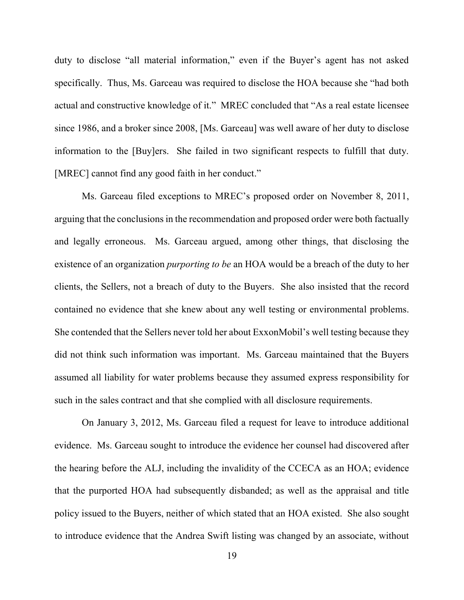duty to disclose "all material information," even if the Buyer's agent has not asked specifically. Thus, Ms. Garceau was required to disclose the HOA because she "had both actual and constructive knowledge of it." MREC concluded that "As a real estate licensee since 1986, and a broker since 2008, [Ms. Garceau] was well aware of her duty to disclose information to the [Buy]ers. She failed in two significant respects to fulfill that duty. [MREC] cannot find any good faith in her conduct."

Ms. Garceau filed exceptions to MREC's proposed order on November 8, 2011, arguing that the conclusions in the recommendation and proposed order were both factually and legally erroneous. Ms. Garceau argued, among other things, that disclosing the existence of an organization *purporting to be* an HOA would be a breach of the duty to her clients, the Sellers, not a breach of duty to the Buyers. She also insisted that the record contained no evidence that she knew about any well testing or environmental problems. She contended that the Sellers never told her about ExxonMobil's well testing because they did not think such information was important. Ms. Garceau maintained that the Buyers assumed all liability for water problems because they assumed express responsibility for such in the sales contract and that she complied with all disclosure requirements.

On January 3, 2012, Ms. Garceau filed a request for leave to introduce additional evidence. Ms. Garceau sought to introduce the evidence her counsel had discovered after the hearing before the ALJ, including the invalidity of the CCECA as an HOA; evidence that the purported HOA had subsequently disbanded; as well as the appraisal and title policy issued to the Buyers, neither of which stated that an HOA existed. She also sought to introduce evidence that the Andrea Swift listing was changed by an associate, without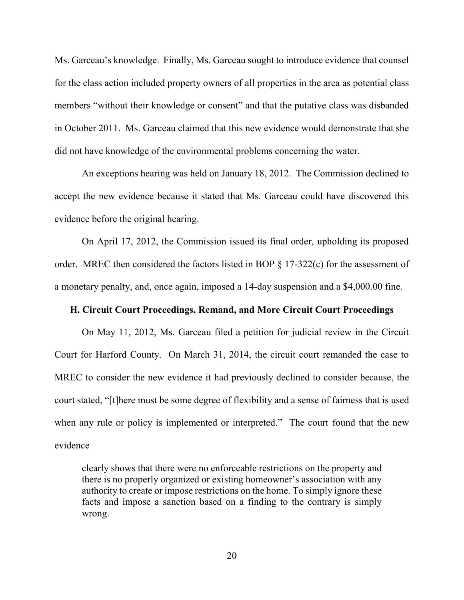Ms. Garceau's knowledge. Finally, Ms. Garceau sought to introduce evidence that counsel for the class action included property owners of all properties in the area as potential class members "without their knowledge or consent" and that the putative class was disbanded in October 2011. Ms. Garceau claimed that this new evidence would demonstrate that she did not have knowledge of the environmental problems concerning the water.

An exceptions hearing was held on January 18, 2012. The Commission declined to accept the new evidence because it stated that Ms. Garceau could have discovered this evidence before the original hearing.

On April 17, 2012, the Commission issued its final order, upholding its proposed order. MREC then considered the factors listed in BOP § 17-322(c) for the assessment of a monetary penalty, and, once again, imposed a 14-day suspension and a \$4,000.00 fine.

## **H. Circuit Court Proceedings, Remand, and More Circuit Court Proceedings**

 On May 11, 2012, Ms. Garceau filed a petition for judicial review in the Circuit Court for Harford County. On March 31, 2014, the circuit court remanded the case to MREC to consider the new evidence it had previously declined to consider because, the court stated, "[t]here must be some degree of flexibility and a sense of fairness that is used when any rule or policy is implemented or interpreted." The court found that the new evidence

clearly shows that there were no enforceable restrictions on the property and there is no properly organized or existing homeowner's association with any authority to create or impose restrictions on the home. To simply ignore these facts and impose a sanction based on a finding to the contrary is simply wrong.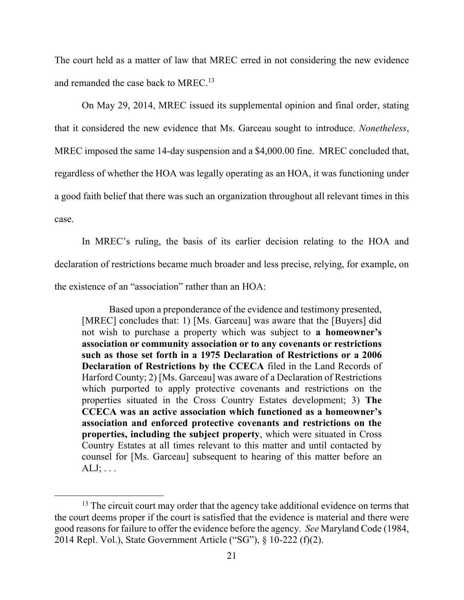The court held as a matter of law that MREC erred in not considering the new evidence and remanded the case back to MREC.<sup>13</sup>

 On May 29, 2014, MREC issued its supplemental opinion and final order, stating that it considered the new evidence that Ms. Garceau sought to introduce. *Nonetheless*, MREC imposed the same 14-day suspension and a \$4,000.00 fine. MREC concluded that, regardless of whether the HOA was legally operating as an HOA, it was functioning under a good faith belief that there was such an organization throughout all relevant times in this case.

In MREC's ruling, the basis of its earlier decision relating to the HOA and declaration of restrictions became much broader and less precise, relying, for example, on the existence of an "association" rather than an HOA:

Based upon a preponderance of the evidence and testimony presented, [MREC] concludes that: 1) [Ms. Garceau] was aware that the [Buyers] did not wish to purchase a property which was subject to **a homeowner's association or community association or to any covenants or restrictions such as those set forth in a 1975 Declaration of Restrictions or a 2006 Declaration of Restrictions by the CCECA** filed in the Land Records of Harford County; 2) [Ms. Garceau] was aware of a Declaration of Restrictions which purported to apply protective covenants and restrictions on the properties situated in the Cross Country Estates development; 3) **The CCECA was an active association which functioned as a homeowner's association and enforced protective covenants and restrictions on the properties, including the subject property**, which were situated in Cross Country Estates at all times relevant to this matter and until contacted by counsel for [Ms. Garceau] subsequent to hearing of this matter before an  $ALJ$ ;  $\ldots$ 

<sup>&</sup>lt;sup>13</sup> The circuit court may order that the agency take additional evidence on terms that the court deems proper if the court is satisfied that the evidence is material and there were good reasons for failure to offer the evidence before the agency. *See* Maryland Code (1984, 2014 Repl. Vol.), State Government Article ("SG"), § 10-222 (f)(2).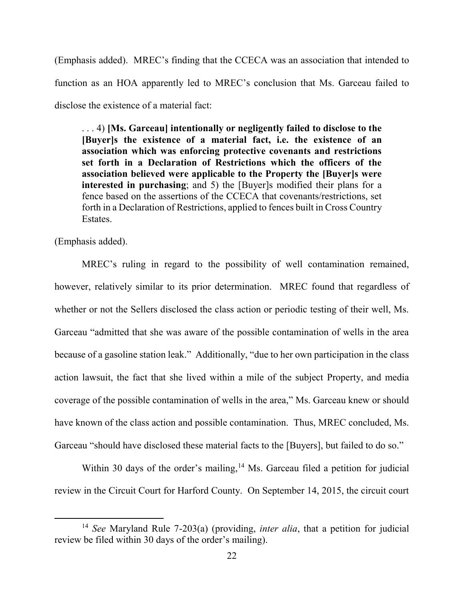(Emphasis added). MREC's finding that the CCECA was an association that intended to function as an HOA apparently led to MREC's conclusion that Ms. Garceau failed to disclose the existence of a material fact:

. . . 4) **[Ms. Garceau] intentionally or negligently failed to disclose to the [Buyer]s the existence of a material fact, i.e. the existence of an association which was enforcing protective covenants and restrictions set forth in a Declaration of Restrictions which the officers of the association believed were applicable to the Property the [Buyer]s were interested in purchasing**; and 5) the [Buyer]s modified their plans for a fence based on the assertions of the CCECA that covenants/restrictions, set forth in a Declaration of Restrictions, applied to fences built in Cross Country Estates.

(Emphasis added).

 $\overline{a}$ 

MREC's ruling in regard to the possibility of well contamination remained, however, relatively similar to its prior determination. MREC found that regardless of whether or not the Sellers disclosed the class action or periodic testing of their well, Ms. Garceau "admitted that she was aware of the possible contamination of wells in the area because of a gasoline station leak." Additionally, "due to her own participation in the class action lawsuit, the fact that she lived within a mile of the subject Property, and media coverage of the possible contamination of wells in the area," Ms. Garceau knew or should have known of the class action and possible contamination. Thus, MREC concluded, Ms. Garceau "should have disclosed these material facts to the [Buyers], but failed to do so."

Within 30 days of the order's mailing,  $14$  Ms. Garceau filed a petition for judicial review in the Circuit Court for Harford County. On September 14, 2015, the circuit court

<sup>14</sup> *See* Maryland Rule 7-203(a) (providing, *inter alia*, that a petition for judicial review be filed within 30 days of the order's mailing).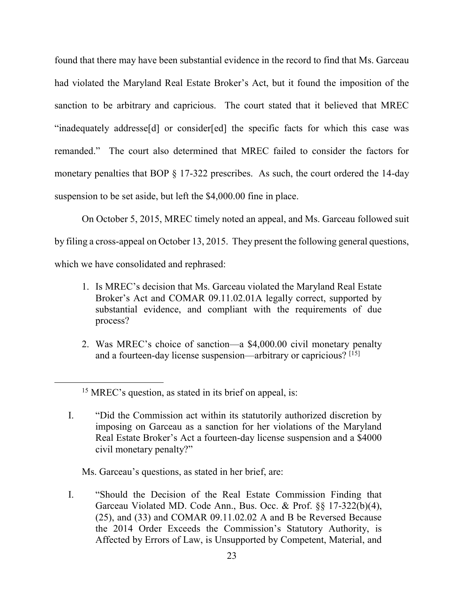found that there may have been substantial evidence in the record to find that Ms. Garceau had violated the Maryland Real Estate Broker's Act, but it found the imposition of the sanction to be arbitrary and capricious. The court stated that it believed that MREC "inadequately addresse[d] or consider[ed] the specific facts for which this case was remanded." The court also determined that MREC failed to consider the factors for monetary penalties that BOP § 17-322 prescribes. As such, the court ordered the 14-day suspension to be set aside, but left the \$4,000.00 fine in place.

On October 5, 2015, MREC timely noted an appeal, and Ms. Garceau followed suit by filing a cross-appeal on October 13, 2015. They present the following general questions, which we have consolidated and rephrased:

- 1. Is MREC's decision that Ms. Garceau violated the Maryland Real Estate Broker's Act and COMAR 09.11.02.01A legally correct, supported by substantial evidence, and compliant with the requirements of due process?
- 2. Was MREC's choice of sanction—a \$4,000.00 civil monetary penalty and a fourteen-day license suspension—arbitrary or capricious?  $[15]$

 $\overline{a}$ 

I. "Did the Commission act within its statutorily authorized discretion by imposing on Garceau as a sanction for her violations of the Maryland Real Estate Broker's Act a fourteen-day license suspension and a \$4000 civil monetary penalty?"

Ms. Garceau's questions, as stated in her brief, are:

I. "Should the Decision of the Real Estate Commission Finding that Garceau Violated MD. Code Ann., Bus. Occ. & Prof. §§ 17-322(b)(4), (25), and (33) and COMAR 09.11.02.02 A and B be Reversed Because the 2014 Order Exceeds the Commission's Statutory Authority, is Affected by Errors of Law, is Unsupported by Competent, Material, and

<sup>&</sup>lt;sup>15</sup> MREC's question, as stated in its brief on appeal, is: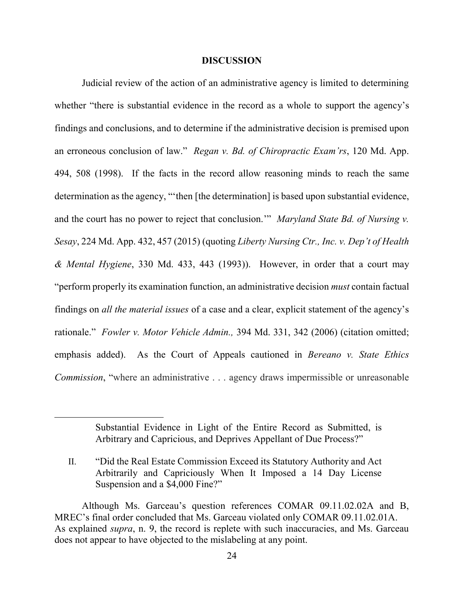#### **DISCUSSION**

Judicial review of the action of an administrative agency is limited to determining whether "there is substantial evidence in the record as a whole to support the agency's findings and conclusions, and to determine if the administrative decision is premised upon an erroneous conclusion of law." *Regan v. Bd. of Chiropractic Exam'rs*, 120 Md. App. 494, 508 (1998). If the facts in the record allow reasoning minds to reach the same determination as the agency, "'then [the determination] is based upon substantial evidence, and the court has no power to reject that conclusion.'" *Maryland State Bd. of Nursing v. Sesay*, 224 Md. App. 432, 457 (2015) (quoting *Liberty Nursing Ctr., Inc. v. Dep't of Health & Mental Hygiene*, 330 Md. 433, 443 (1993)). However, in order that a court may "perform properly its examination function, an administrative decision *must* contain factual findings on *all the material issues* of a case and a clear, explicit statement of the agency's rationale." *Fowler v. Motor Vehicle Admin.,* 394 Md. 331, 342 (2006) (citation omitted; emphasis added). As the Court of Appeals cautioned in *Bereano v. State Ethics Commission*, "where an administrative . . . agency draws impermissible or unreasonable

> Substantial Evidence in Light of the Entire Record as Submitted, is Arbitrary and Capricious, and Deprives Appellant of Due Process?"

II. "Did the Real Estate Commission Exceed its Statutory Authority and Act Arbitrarily and Capriciously When It Imposed a 14 Day License Suspension and a \$4,000 Fine?"

Although Ms. Garceau's question references COMAR 09.11.02.02A and B, MREC's final order concluded that Ms. Garceau violated only COMAR 09.11.02.01A. As explained *supra*, n. 9, the record is replete with such inaccuracies, and Ms. Garceau does not appear to have objected to the mislabeling at any point.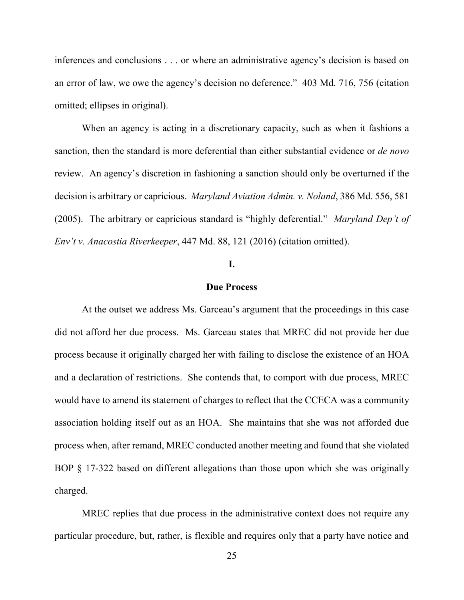inferences and conclusions . . . or where an administrative agency's decision is based on an error of law, we owe the agency's decision no deference." 403 Md. 716, 756 (citation omitted; ellipses in original).

When an agency is acting in a discretionary capacity, such as when it fashions a sanction, then the standard is more deferential than either substantial evidence or *de novo* review. An agency's discretion in fashioning a sanction should only be overturned if the decision is arbitrary or capricious. *Maryland Aviation Admin. v. Noland*, 386 Md. 556, 581 (2005). The arbitrary or capricious standard is "highly deferential." *Maryland Dep't of Env't v. Anacostia Riverkeeper*, 447 Md. 88, 121 (2016) (citation omitted).

## **I.**

#### **Due Process**

At the outset we address Ms. Garceau's argument that the proceedings in this case did not afford her due process. Ms. Garceau states that MREC did not provide her due process because it originally charged her with failing to disclose the existence of an HOA and a declaration of restrictions. She contends that, to comport with due process, MREC would have to amend its statement of charges to reflect that the CCECA was a community association holding itself out as an HOA. She maintains that she was not afforded due process when, after remand, MREC conducted another meeting and found that she violated BOP § 17-322 based on different allegations than those upon which she was originally charged.

MREC replies that due process in the administrative context does not require any particular procedure, but, rather, is flexible and requires only that a party have notice and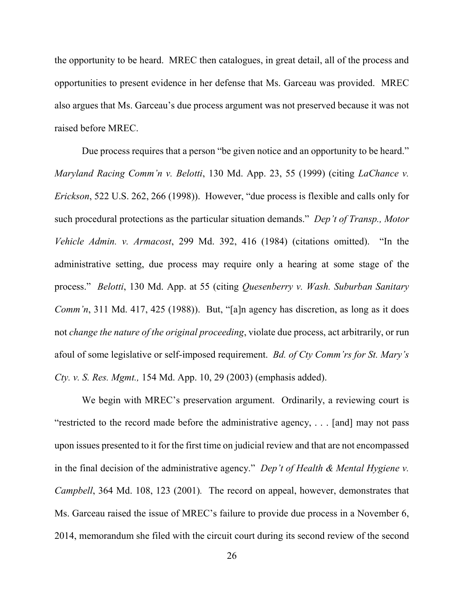the opportunity to be heard. MREC then catalogues, in great detail, all of the process and opportunities to present evidence in her defense that Ms. Garceau was provided. MREC also argues that Ms. Garceau's due process argument was not preserved because it was not raised before MREC.

Due process requires that a person "be given notice and an opportunity to be heard." *Maryland Racing Comm'n v. Belotti*, 130 Md. App. 23, 55 (1999) (citing *LaChance v. Erickson*, 522 U.S. 262, 266 (1998)). However, "due process is flexible and calls only for such procedural protections as the particular situation demands." *Dep't of Transp., Motor Vehicle Admin. v. Armacost*, 299 Md. 392, 416 (1984) (citations omitted). "In the administrative setting, due process may require only a hearing at some stage of the process." *Belotti*, 130 Md. App. at 55 (citing *Quesenberry v. Wash. Suburban Sanitary Comm'n*, 311 Md. 417, 425 (1988)). But, "[a]n agency has discretion, as long as it does not *change the nature of the original proceeding*, violate due process, act arbitrarily, or run afoul of some legislative or self-imposed requirement. *Bd. of Cty Comm'rs for St. Mary's Cty. v. S. Res. Mgmt.,* 154 Md. App. 10, 29 (2003) (emphasis added).

We begin with MREC's preservation argument. Ordinarily, a reviewing court is "restricted to the record made before the administrative agency, . . . [and] may not pass upon issues presented to it for the first time on judicial review and that are not encompassed in the final decision of the administrative agency." *Dep't of Health & Mental Hygiene v. Campbell*, 364 Md. 108, 123 (2001)*.* The record on appeal, however, demonstrates that Ms. Garceau raised the issue of MREC's failure to provide due process in a November 6, 2014, memorandum she filed with the circuit court during its second review of the second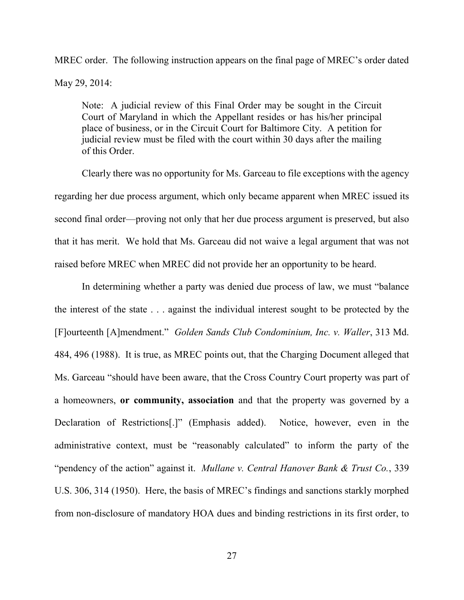MREC order. The following instruction appears on the final page of MREC's order dated May 29, 2014:

Note: A judicial review of this Final Order may be sought in the Circuit Court of Maryland in which the Appellant resides or has his/her principal place of business, or in the Circuit Court for Baltimore City. A petition for judicial review must be filed with the court within 30 days after the mailing of this Order.

Clearly there was no opportunity for Ms. Garceau to file exceptions with the agency regarding her due process argument, which only became apparent when MREC issued its second final order—proving not only that her due process argument is preserved, but also that it has merit. We hold that Ms. Garceau did not waive a legal argument that was not raised before MREC when MREC did not provide her an opportunity to be heard.

In determining whether a party was denied due process of law, we must "balance the interest of the state . . . against the individual interest sought to be protected by the [F]ourteenth [A]mendment." *Golden Sands Club Condominium, Inc. v. Waller*, 313 Md. 484, 496 (1988). It is true, as MREC points out, that the Charging Document alleged that Ms. Garceau "should have been aware, that the Cross Country Court property was part of a homeowners, **or community, association** and that the property was governed by a Declaration of Restrictions[.]" (Emphasis added). Notice, however, even in the administrative context, must be "reasonably calculated" to inform the party of the "pendency of the action" against it. *Mullane v. Central Hanover Bank & Trust Co.*, 339 U.S. 306, 314 (1950). Here, the basis of MREC's findings and sanctions starkly morphed from non-disclosure of mandatory HOA dues and binding restrictions in its first order, to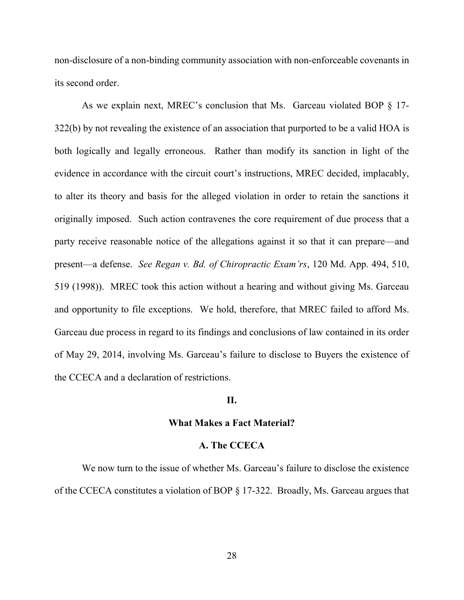non-disclosure of a non-binding community association with non-enforceable covenants in its second order.

As we explain next, MREC's conclusion that Ms. Garceau violated BOP § 17- 322(b) by not revealing the existence of an association that purported to be a valid HOA is both logically and legally erroneous. Rather than modify its sanction in light of the evidence in accordance with the circuit court's instructions, MREC decided, implacably, to alter its theory and basis for the alleged violation in order to retain the sanctions it originally imposed. Such action contravenes the core requirement of due process that a party receive reasonable notice of the allegations against it so that it can prepare—and present—a defense. *See Regan v. Bd. of Chiropractic Exam'rs*, 120 Md. App. 494, 510, 519 (1998)).MREC took this action without a hearing and without giving Ms. Garceau and opportunity to file exceptions. We hold, therefore, that MREC failed to afford Ms. Garceau due process in regard to its findings and conclusions of law contained in its order of May 29, 2014, involving Ms. Garceau's failure to disclose to Buyers the existence of the CCECA and a declaration of restrictions.

# **II.**

#### **What Makes a Fact Material?**

### **A. The CCECA**

We now turn to the issue of whether Ms. Garceau's failure to disclose the existence of the CCECA constitutes a violation of BOP § 17-322. Broadly, Ms. Garceau argues that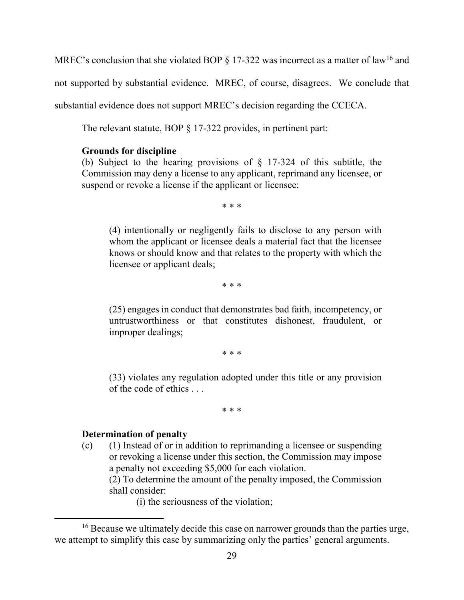MREC's conclusion that she violated BOP  $\S$  17-322 was incorrect as a matter of law<sup>16</sup> and

not supported by substantial evidence. MREC, of course, disagrees. We conclude that

substantial evidence does not support MREC's decision regarding the CCECA.

The relevant statute, BOP § 17-322 provides, in pertinent part:

# **Grounds for discipline**

(b) Subject to the hearing provisions of § 17-324 of this subtitle, the Commission may deny a license to any applicant, reprimand any licensee, or suspend or revoke a license if the applicant or licensee:

\* \* \*

(4) intentionally or negligently fails to disclose to any person with whom the applicant or licensee deals a material fact that the licensee knows or should know and that relates to the property with which the licensee or applicant deals;

\* \* \*

(25) engages in conduct that demonstrates bad faith, incompetency, or untrustworthiness or that constitutes dishonest, fraudulent, or improper dealings;

\* \* \*

(33) violates any regulation adopted under this title or any provision of the code of ethics . . .

\* \* \*

# **Determination of penalty**

 $\overline{a}$ 

(c) (1) Instead of or in addition to reprimanding a licensee or suspending or revoking a license under this section, the Commission may impose a penalty not exceeding \$5,000 for each violation.

(2) To determine the amount of the penalty imposed, the Commission shall consider:

(i) the seriousness of the violation;

<sup>&</sup>lt;sup>16</sup> Because we ultimately decide this case on narrower grounds than the parties urge, we attempt to simplify this case by summarizing only the parties' general arguments.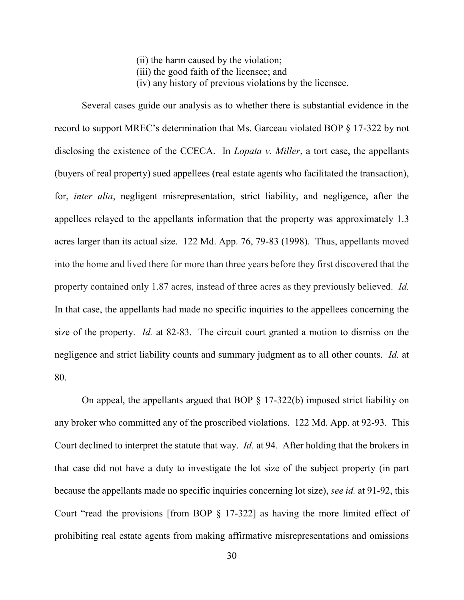(ii) the harm caused by the violation;

- (iii) the good faith of the licensee; and
- (iv) any history of previous violations by the licensee.

 Several cases guide our analysis as to whether there is substantial evidence in the record to support MREC's determination that Ms. Garceau violated BOP § 17-322 by not disclosing the existence of the CCECA. In *Lopata v. Miller*, a tort case, the appellants (buyers of real property) sued appellees (real estate agents who facilitated the transaction), for, *inter alia*, negligent misrepresentation, strict liability, and negligence, after the appellees relayed to the appellants information that the property was approximately 1.3 acres larger than its actual size. 122 Md. App. 76, 79-83 (1998). Thus, appellants moved into the home and lived there for more than three years before they first discovered that the property contained only 1.87 acres, instead of three acres as they previously believed. *Id.*  In that case, the appellants had made no specific inquiries to the appellees concerning the size of the property. *Id.* at 82-83. The circuit court granted a motion to dismiss on the negligence and strict liability counts and summary judgment as to all other counts. *Id.* at 80.

On appeal, the appellants argued that BOP § 17-322(b) imposed strict liability on any broker who committed any of the proscribed violations. 122 Md. App. at 92-93. This Court declined to interpret the statute that way. *Id.* at 94. After holding that the brokers in that case did not have a duty to investigate the lot size of the subject property (in part because the appellants made no specific inquiries concerning lot size), *see id.* at 91-92, this Court "read the provisions [from BOP § 17-322] as having the more limited effect of prohibiting real estate agents from making affirmative misrepresentations and omissions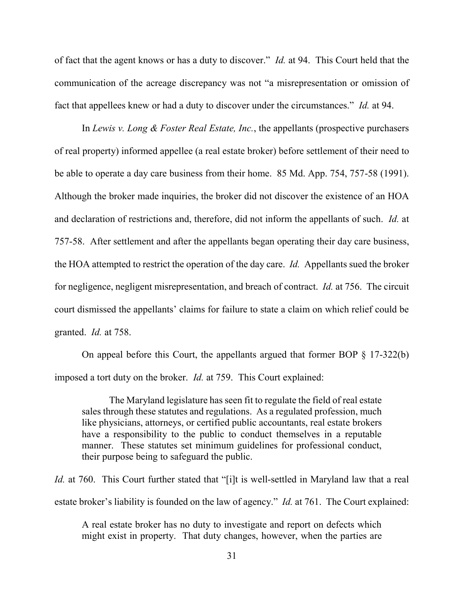of fact that the agent knows or has a duty to discover." *Id.* at 94. This Court held that the communication of the acreage discrepancy was not "a misrepresentation or omission of fact that appellees knew or had a duty to discover under the circumstances." *Id.* at 94.

In *Lewis v. Long & Foster Real Estate, Inc.*, the appellants (prospective purchasers of real property) informed appellee (a real estate broker) before settlement of their need to be able to operate a day care business from their home. 85 Md. App. 754, 757-58 (1991). Although the broker made inquiries, the broker did not discover the existence of an HOA and declaration of restrictions and, therefore, did not inform the appellants of such. *Id.* at 757-58. After settlement and after the appellants began operating their day care business, the HOA attempted to restrict the operation of the day care. *Id.* Appellants sued the broker for negligence, negligent misrepresentation, and breach of contract. *Id.* at 756. The circuit court dismissed the appellants' claims for failure to state a claim on which relief could be granted. *Id.* at 758.

On appeal before this Court, the appellants argued that former BOP  $\S$  17-322(b) imposed a tort duty on the broker. *Id.* at 759. This Court explained:

The Maryland legislature has seen fit to regulate the field of real estate sales through these statutes and regulations. As a regulated profession, much like physicians, attorneys, or certified public accountants, real estate brokers have a responsibility to the public to conduct themselves in a reputable manner. These statutes set minimum guidelines for professional conduct, their purpose being to safeguard the public.

*Id.* at 760. This Court further stated that "[i]t is well-settled in Maryland law that a real estate broker's liability is founded on the law of agency." *Id.* at 761. The Court explained:

A real estate broker has no duty to investigate and report on defects which might exist in property. That duty changes, however, when the parties are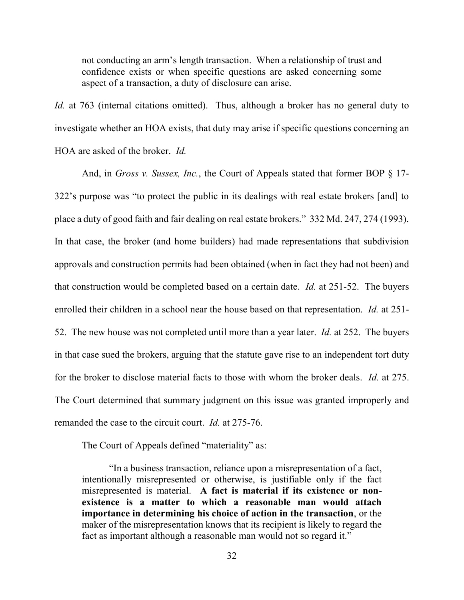not conducting an arm's length transaction. When a relationship of trust and confidence exists or when specific questions are asked concerning some aspect of a transaction, a duty of disclosure can arise.

*Id.* at 763 (internal citations omitted). Thus, although a broker has no general duty to investigate whether an HOA exists, that duty may arise if specific questions concerning an HOA are asked of the broker. *Id.*

And, in *Gross v. Sussex, Inc.*, the Court of Appeals stated that former BOP § 17-322's purpose was "to protect the public in its dealings with real estate brokers [and] to place a duty of good faith and fair dealing on real estate brokers." 332 Md. 247, 274 (1993). In that case, the broker (and home builders) had made representations that subdivision approvals and construction permits had been obtained (when in fact they had not been) and that construction would be completed based on a certain date. *Id.* at 251-52. The buyers enrolled their children in a school near the house based on that representation. *Id.* at 251- 52. The new house was not completed until more than a year later. *Id.* at 252. The buyers in that case sued the brokers, arguing that the statute gave rise to an independent tort duty for the broker to disclose material facts to those with whom the broker deals. *Id.* at 275. The Court determined that summary judgment on this issue was granted improperly and remanded the case to the circuit court. *Id.* at 275-76.

The Court of Appeals defined "materiality" as:

"In a business transaction, reliance upon a misrepresentation of a fact, intentionally misrepresented or otherwise, is justifiable only if the fact misrepresented is material. **A fact is material if its existence or nonexistence is a matter to which a reasonable man would attach importance in determining his choice of action in the transaction**, or the maker of the misrepresentation knows that its recipient is likely to regard the fact as important although a reasonable man would not so regard it."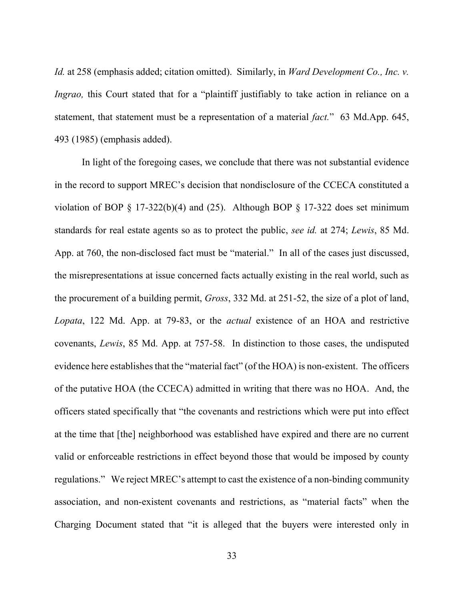*Id.* at 258 (emphasis added; citation omitted). Similarly, in *Ward Development Co., Inc. v. Ingrao*, this Court stated that for a "plaintiff justifiably to take action in reliance on a statement, that statement must be a representation of a material *fact.*" 63 Md.App. 645, 493 (1985) (emphasis added).

 In light of the foregoing cases, we conclude that there was not substantial evidence in the record to support MREC's decision that nondisclosure of the CCECA constituted a violation of BOP  $\S$  17-322(b)(4) and (25). Although BOP  $\S$  17-322 does set minimum standards for real estate agents so as to protect the public, *see id.* at 274; *Lewis*, 85 Md. App. at 760, the non-disclosed fact must be "material." In all of the cases just discussed, the misrepresentations at issue concerned facts actually existing in the real world, such as the procurement of a building permit, *Gross*, 332 Md. at 251-52, the size of a plot of land, *Lopata*, 122 Md. App. at 79-83, or the *actual* existence of an HOA and restrictive covenants, *Lewis*, 85 Md. App. at 757-58. In distinction to those cases, the undisputed evidence here establishes that the "material fact" (of the HOA) is non-existent. The officers of the putative HOA (the CCECA) admitted in writing that there was no HOA. And, the officers stated specifically that "the covenants and restrictions which were put into effect at the time that [the] neighborhood was established have expired and there are no current valid or enforceable restrictions in effect beyond those that would be imposed by county regulations." We reject MREC's attempt to cast the existence of a non-binding community association, and non-existent covenants and restrictions, as "material facts" when the Charging Document stated that "it is alleged that the buyers were interested only in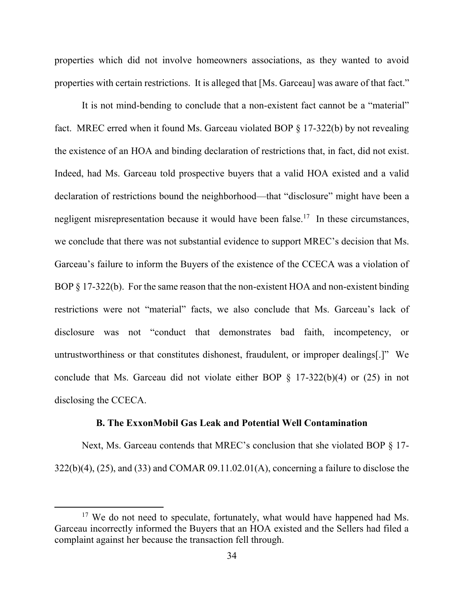properties which did not involve homeowners associations, as they wanted to avoid properties with certain restrictions. It is alleged that [Ms. Garceau] was aware of that fact."

 It is not mind-bending to conclude that a non-existent fact cannot be a "material" fact. MREC erred when it found Ms. Garceau violated BOP § 17-322(b) by not revealing the existence of an HOA and binding declaration of restrictions that, in fact, did not exist. Indeed, had Ms. Garceau told prospective buyers that a valid HOA existed and a valid declaration of restrictions bound the neighborhood—that "disclosure" might have been a negligent misrepresentation because it would have been false.<sup>17</sup> In these circumstances, we conclude that there was not substantial evidence to support MREC's decision that Ms. Garceau's failure to inform the Buyers of the existence of the CCECA was a violation of BOP § 17-322(b). For the same reason that the non-existent HOA and non-existent binding restrictions were not "material" facts, we also conclude that Ms. Garceau's lack of disclosure was not "conduct that demonstrates bad faith, incompetency, or untrustworthiness or that constitutes dishonest, fraudulent, or improper dealings[.]" We conclude that Ms. Garceau did not violate either BOP § 17-322(b)(4) or (25) in not disclosing the CCECA.

### **B. The ExxonMobil Gas Leak and Potential Well Contamination**

Next, Ms. Garceau contends that MREC's conclusion that she violated BOP § 17-  $322(b)(4)$ ,  $(25)$ , and  $(33)$  and COMAR  $09.11.02.01(A)$ , concerning a failure to disclose the

<sup>&</sup>lt;sup>17</sup> We do not need to speculate, fortunately, what would have happened had Ms. Garceau incorrectly informed the Buyers that an HOA existed and the Sellers had filed a complaint against her because the transaction fell through.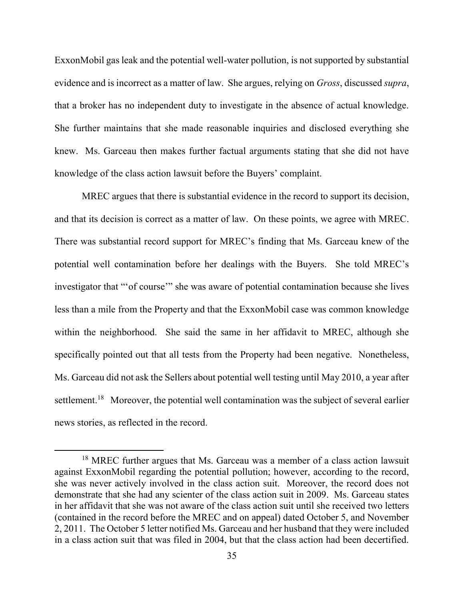ExxonMobil gas leak and the potential well-water pollution, is not supported by substantial evidence and is incorrect as a matter of law. She argues, relying on *Gross*, discussed *supra*, that a broker has no independent duty to investigate in the absence of actual knowledge. She further maintains that she made reasonable inquiries and disclosed everything she knew. Ms. Garceau then makes further factual arguments stating that she did not have knowledge of the class action lawsuit before the Buyers' complaint.

MREC argues that there is substantial evidence in the record to support its decision, and that its decision is correct as a matter of law. On these points, we agree with MREC. There was substantial record support for MREC's finding that Ms. Garceau knew of the potential well contamination before her dealings with the Buyers. She told MREC's investigator that "'of course'" she was aware of potential contamination because she lives less than a mile from the Property and that the ExxonMobil case was common knowledge within the neighborhood. She said the same in her affidavit to MREC, although she specifically pointed out that all tests from the Property had been negative. Nonetheless, Ms. Garceau did not ask the Sellers about potential well testing until May 2010, a year after settlement.<sup>18</sup> Moreover, the potential well contamination was the subject of several earlier news stories, as reflected in the record.

<sup>&</sup>lt;sup>18</sup> MREC further argues that Ms. Garceau was a member of a class action lawsuit against ExxonMobil regarding the potential pollution; however, according to the record, she was never actively involved in the class action suit. Moreover, the record does not demonstrate that she had any scienter of the class action suit in 2009. Ms. Garceau states in her affidavit that she was not aware of the class action suit until she received two letters (contained in the record before the MREC and on appeal) dated October 5, and November 2, 2011. The October 5 letter notified Ms. Garceau and her husband that they were included in a class action suit that was filed in 2004, but that the class action had been decertified.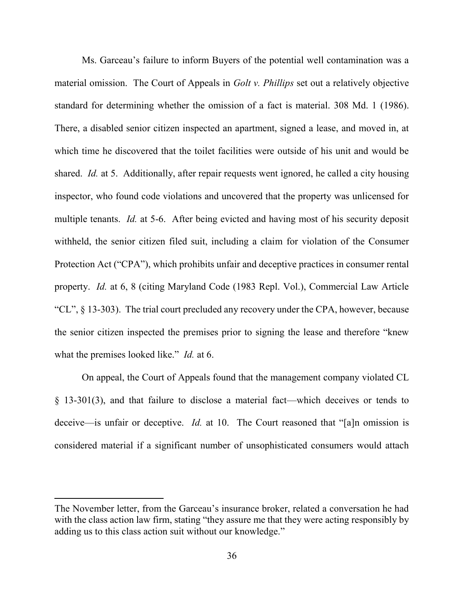Ms. Garceau's failure to inform Buyers of the potential well contamination was a material omission. The Court of Appeals in *Golt v. Phillips* set out a relatively objective standard for determining whether the omission of a fact is material. 308 Md. 1 (1986). There, a disabled senior citizen inspected an apartment, signed a lease, and moved in, at which time he discovered that the toilet facilities were outside of his unit and would be shared. *Id.* at 5. Additionally, after repair requests went ignored, he called a city housing inspector, who found code violations and uncovered that the property was unlicensed for multiple tenants. *Id.* at 5-6. After being evicted and having most of his security deposit withheld, the senior citizen filed suit, including a claim for violation of the Consumer Protection Act ("CPA"), which prohibits unfair and deceptive practices in consumer rental property. *Id.* at 6, 8 (citing Maryland Code (1983 Repl. Vol.), Commercial Law Article "CL", § 13-303).The trial court precluded any recovery under the CPA, however, because the senior citizen inspected the premises prior to signing the lease and therefore "knew what the premises looked like." *Id.* at 6.

On appeal, the Court of Appeals found that the management company violated CL § 13-301(3), and that failure to disclose a material fact—which deceives or tends to deceive—is unfair or deceptive. *Id.* at 10. The Court reasoned that "[a]n omission is considered material if a significant number of unsophisticated consumers would attach

The November letter, from the Garceau's insurance broker, related a conversation he had with the class action law firm, stating "they assure me that they were acting responsibly by adding us to this class action suit without our knowledge."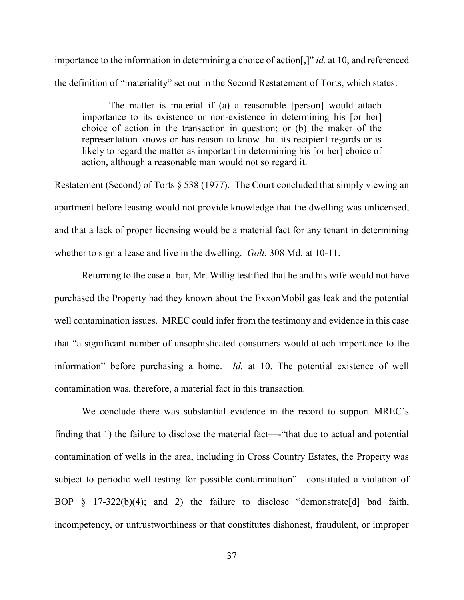importance to the information in determining a choice of action[,]" *id.* at 10, and referenced the definition of "materiality" set out in the Second Restatement of Torts, which states:

The matter is material if (a) a reasonable [person] would attach importance to its existence or non-existence in determining his [or her] choice of action in the transaction in question; or (b) the maker of the representation knows or has reason to know that its recipient regards or is likely to regard the matter as important in determining his [or her] choice of action, although a reasonable man would not so regard it.

Restatement (Second) of Torts § 538 (1977). The Court concluded that simply viewing an apartment before leasing would not provide knowledge that the dwelling was unlicensed, and that a lack of proper licensing would be a material fact for any tenant in determining whether to sign a lease and live in the dwelling. *Golt.* 308 Md. at 10-11.

Returning to the case at bar, Mr. Willig testified that he and his wife would not have purchased the Property had they known about the ExxonMobil gas leak and the potential well contamination issues. MREC could infer from the testimony and evidence in this case that "a significant number of unsophisticated consumers would attach importance to the information" before purchasing a home. *Id.* at 10. The potential existence of well contamination was, therefore, a material fact in this transaction.

We conclude there was substantial evidence in the record to support MREC's finding that 1) the failure to disclose the material fact—-"that due to actual and potential contamination of wells in the area, including in Cross Country Estates, the Property was subject to periodic well testing for possible contamination"—constituted a violation of BOP § 17-322(b)(4); and 2) the failure to disclose "demonstrate[d] bad faith, incompetency, or untrustworthiness or that constitutes dishonest, fraudulent, or improper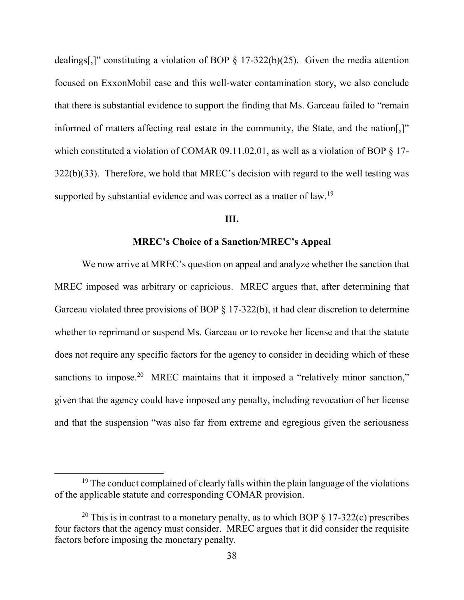dealings[,]" constituting a violation of BOP  $\S$  17-322(b)(25). Given the media attention focused on ExxonMobil case and this well-water contamination story, we also conclude that there is substantial evidence to support the finding that Ms. Garceau failed to "remain informed of matters affecting real estate in the community, the State, and the nation[,]" which constituted a violation of COMAR 09.11.02.01, as well as a violation of BOP § 17-322(b)(33). Therefore, we hold that MREC's decision with regard to the well testing was supported by substantial evidence and was correct as a matter of law.<sup>19</sup>

#### **III.**

#### **MREC's Choice of a Sanction/MREC's Appeal**

 We now arrive at MREC's question on appeal and analyze whether the sanction that MREC imposed was arbitrary or capricious. MREC argues that, after determining that Garceau violated three provisions of BOP § 17-322(b), it had clear discretion to determine whether to reprimand or suspend Ms. Garceau or to revoke her license and that the statute does not require any specific factors for the agency to consider in deciding which of these sanctions to impose.<sup>20</sup> MREC maintains that it imposed a "relatively minor sanction," given that the agency could have imposed any penalty, including revocation of her license and that the suspension "was also far from extreme and egregious given the seriousness

 $19$  The conduct complained of clearly falls within the plain language of the violations of the applicable statute and corresponding COMAR provision.

<sup>&</sup>lt;sup>20</sup> This is in contrast to a monetary penalty, as to which BOP  $\S$  17-322(c) prescribes four factors that the agency must consider. MREC argues that it did consider the requisite factors before imposing the monetary penalty.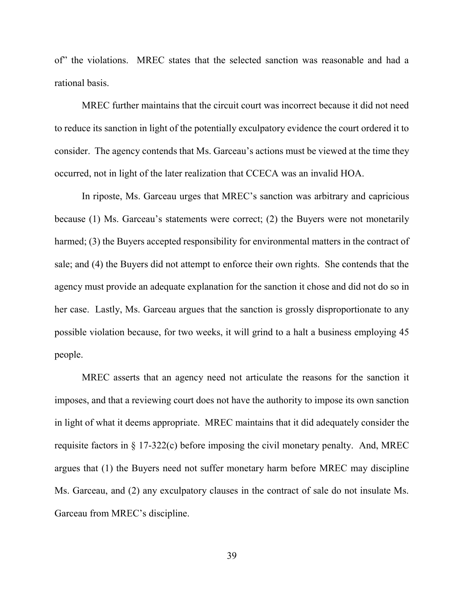of" the violations. MREC states that the selected sanction was reasonable and had a rational basis.

MREC further maintains that the circuit court was incorrect because it did not need to reduce its sanction in light of the potentially exculpatory evidence the court ordered it to consider. The agency contends that Ms. Garceau's actions must be viewed at the time they occurred, not in light of the later realization that CCECA was an invalid HOA.

 In riposte, Ms. Garceau urges that MREC's sanction was arbitrary and capricious because (1) Ms. Garceau's statements were correct; (2) the Buyers were not monetarily harmed; (3) the Buyers accepted responsibility for environmental matters in the contract of sale; and (4) the Buyers did not attempt to enforce their own rights. She contends that the agency must provide an adequate explanation for the sanction it chose and did not do so in her case. Lastly, Ms. Garceau argues that the sanction is grossly disproportionate to any possible violation because, for two weeks, it will grind to a halt a business employing 45 people.

MREC asserts that an agency need not articulate the reasons for the sanction it imposes, and that a reviewing court does not have the authority to impose its own sanction in light of what it deems appropriate. MREC maintains that it did adequately consider the requisite factors in § 17-322(c) before imposing the civil monetary penalty. And, MREC argues that (1) the Buyers need not suffer monetary harm before MREC may discipline Ms. Garceau, and (2) any exculpatory clauses in the contract of sale do not insulate Ms. Garceau from MREC's discipline.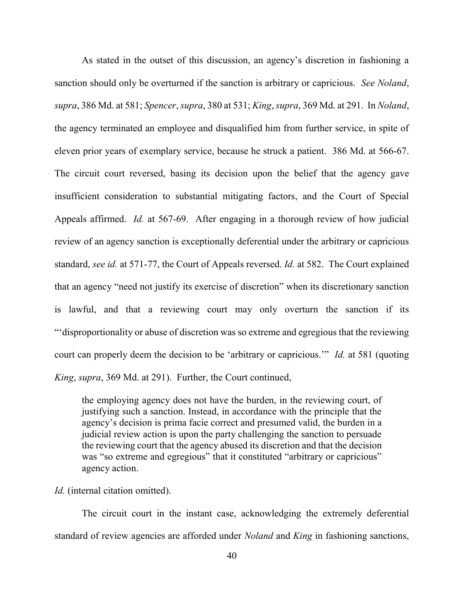As stated in the outset of this discussion, an agency's discretion in fashioning a sanction should only be overturned if the sanction is arbitrary or capricious. *See Noland*, *supra*, 386 Md. at 581; *Spencer*, *supra*, 380 at 531; *King*, *supra*, 369 Md. at 291. In *Noland*, the agency terminated an employee and disqualified him from further service, in spite of eleven prior years of exemplary service, because he struck a patient. 386 Md. at 566-67. The circuit court reversed, basing its decision upon the belief that the agency gave insufficient consideration to substantial mitigating factors, and the Court of Special Appeals affirmed. *Id.* at 567-69. After engaging in a thorough review of how judicial review of an agency sanction is exceptionally deferential under the arbitrary or capricious standard, *see id.* at 571-77, the Court of Appeals reversed. *Id.* at 582. The Court explained that an agency "need not justify its exercise of discretion" when its discretionary sanction is lawful, and that a reviewing court may only overturn the sanction if its "'disproportionality or abuse of discretion was so extreme and egregious that the reviewing court can properly deem the decision to be 'arbitrary or capricious.'" *Id.* at 581 (quoting *King*, *supra*, 369 Md. at 291). Further, the Court continued,

the employing agency does not have the burden, in the reviewing court, of justifying such a sanction. Instead, in accordance with the principle that the agency's decision is prima facie correct and presumed valid, the burden in a judicial review action is upon the party challenging the sanction to persuade the reviewing court that the agency abused its discretion and that the decision was "so extreme and egregious" that it constituted "arbitrary or capricious" agency action.

#### *Id.* (internal citation omitted).

The circuit court in the instant case, acknowledging the extremely deferential standard of review agencies are afforded under *Noland* and *King* in fashioning sanctions,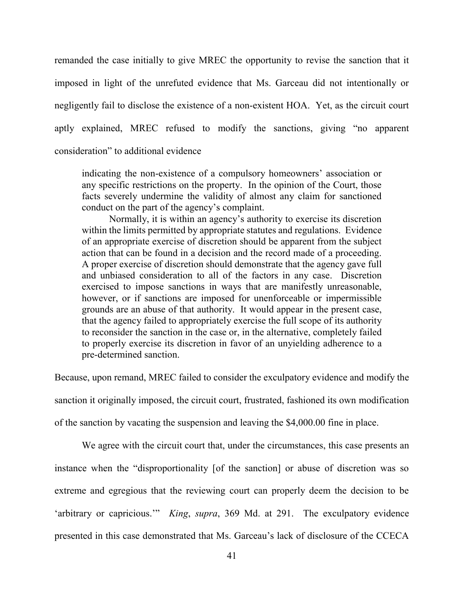remanded the case initially to give MREC the opportunity to revise the sanction that it imposed in light of the unrefuted evidence that Ms. Garceau did not intentionally or negligently fail to disclose the existence of a non-existent HOA. Yet, as the circuit court aptly explained, MREC refused to modify the sanctions, giving "no apparent consideration" to additional evidence

indicating the non-existence of a compulsory homeowners' association or any specific restrictions on the property. In the opinion of the Court, those facts severely undermine the validity of almost any claim for sanctioned conduct on the part of the agency's complaint.

 Normally, it is within an agency's authority to exercise its discretion within the limits permitted by appropriate statutes and regulations. Evidence of an appropriate exercise of discretion should be apparent from the subject action that can be found in a decision and the record made of a proceeding. A proper exercise of discretion should demonstrate that the agency gave full and unbiased consideration to all of the factors in any case. Discretion exercised to impose sanctions in ways that are manifestly unreasonable, however, or if sanctions are imposed for unenforceable or impermissible grounds are an abuse of that authority. It would appear in the present case, that the agency failed to appropriately exercise the full scope of its authority to reconsider the sanction in the case or, in the alternative, completely failed to properly exercise its discretion in favor of an unyielding adherence to a pre-determined sanction.

Because, upon remand, MREC failed to consider the exculpatory evidence and modify the

sanction it originally imposed, the circuit court, frustrated, fashioned its own modification

of the sanction by vacating the suspension and leaving the \$4,000.00 fine in place.

We agree with the circuit court that, under the circumstances, this case presents an instance when the "disproportionality [of the sanction] or abuse of discretion was so extreme and egregious that the reviewing court can properly deem the decision to be 'arbitrary or capricious.'" *King*, *supra*, 369 Md. at 291. The exculpatory evidence presented in this case demonstrated that Ms. Garceau's lack of disclosure of the CCECA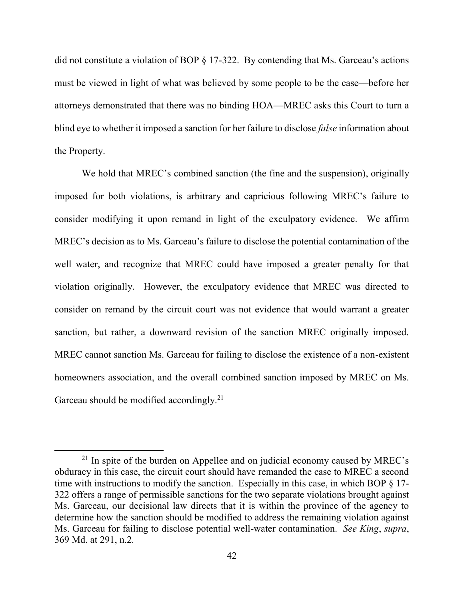did not constitute a violation of BOP § 17-322. By contending that Ms. Garceau's actions must be viewed in light of what was believed by some people to be the case—before her attorneys demonstrated that there was no binding HOA—MREC asks this Court to turn a blind eye to whether it imposed a sanction for her failure to disclose *false* information about the Property.

We hold that MREC's combined sanction (the fine and the suspension), originally imposed for both violations, is arbitrary and capricious following MREC's failure to consider modifying it upon remand in light of the exculpatory evidence. We affirm MREC's decision as to Ms. Garceau's failure to disclose the potential contamination of the well water, and recognize that MREC could have imposed a greater penalty for that violation originally. However, the exculpatory evidence that MREC was directed to consider on remand by the circuit court was not evidence that would warrant a greater sanction, but rather, a downward revision of the sanction MREC originally imposed. MREC cannot sanction Ms. Garceau for failing to disclose the existence of a non-existent homeowners association, and the overall combined sanction imposed by MREC on Ms. Garceau should be modified accordingly.<sup>21</sup>

 $21$  In spite of the burden on Appellee and on judicial economy caused by MREC's obduracy in this case, the circuit court should have remanded the case to MREC a second time with instructions to modify the sanction. Especially in this case, in which BOP § 17- 322 offers a range of permissible sanctions for the two separate violations brought against Ms. Garceau, our decisional law directs that it is within the province of the agency to determine how the sanction should be modified to address the remaining violation against Ms. Garceau for failing to disclose potential well-water contamination. *See King*, *supra*, 369 Md. at 291, n.2*.*